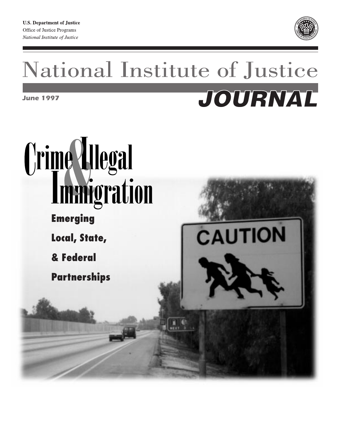

# National Institute of Justice JOURNAL *June 1997*

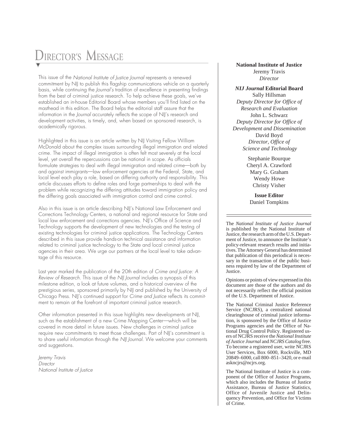# DIRECTOR'S MESSAGE

This issue of the National Institute of Justice Journal represents a renewed commitment by NIJ to publish this flagship communications vehicle on a quarterly basis, while continuing the Journal's tradition of excellence in presenting findings from the best of criminal justice research. To help achieve these goals, we've established an in-house Editorial Board whose members you'll find listed on the masthead in this edition. The Board helps the editorial staff assure that the information in the Journal accurately reflects the scope of NIJ's research and development activities, is timely, and, when based on sponsored research, is academically rigorous.

Highlighted in this issue is an article written by NIJ Visiting Fellow William McDonald about the complex issues surrounding illegal immigration and related crime. The impact of illegal immigration is often felt most severely at the local level, yet overall the repercussions can be national in scope. As officials formulate strategies to deal with illegal immigration and related crime—both by and against immigrants—law enforcement agencies at the Federal, State, and local level each play a role, based on differing authority and responsibility. This article discusses efforts to define roles and forge partnerships to deal with the problem while recognizing the differing attitudes toward immigration policy and the differing goals associated with immigration control and crime control.

Also in this issue is an article describing NIJ's National Law Enforcement and Corrections Technology Centers, a national and regional resource for State and local law enforcement and corrections agencies. NIJ's Office of Science and Technology supports the development of new technologies and the testing of existing technologies for criminal justice applications. The Technology Centers described in this issue provide hands-on technical assistance and information related to criminal justice technology to the State and local criminal justice agencies in their area. We urge our partners at the local level to take advantage of this resource.

Last year marked the publication of the 20th edition of Crime and Justice: A Review of Research. This issue of the NIJ Journal includes a synopsis of this milestone edition, a look at future volumes, and a historical overview of the prestigious series, sponsored primarily by NIJ and published by the University of Chicago Press. NIJ's continued support for Crime and Justice reflects its commitment to remain at the forefront of important criminal justice research.

Other information presented in this issue highlights new developments at NIJ, such as the establishment of a new Crime Mapping Center—which will be covered in more detail in future issues. New challenges in criminal justice require new commitments to meet those challenges. Part of NIJ's commitment is to share useful information through the NIJ Journal. We welcome your comments and suggestions.

Jeremy Travis **Director** National Institute of Justice

#### **National Institute of Justice** Jeremy Travis *Director*

#### *NIJ Journal* **Editorial Board**

Sally Hillsman *Deputy Director for Office of Research and Evaluation* John L. Schwarz *Deputy Director for Office of Development and Dissemination* David Boyd *Director, Office of Science and Technology*

> Stephanie Bourque Cheryl A. Crawford Mary G. Graham Wendy Howe Christy Visher

**Issue Editor** Daniel Tompkins

The *National Institute of Justice Journal* is published by the National Institute of Justice, the research arm of the U.S. Department of Justice, to announce the Institute's policy-relevant research results and initiatives. The Attorney General has determined that publication of this periodical is necessary in the transaction of the public business required by law of the Department of Justice.

Opinions or points of view expressed in this document are those of the authors and do not necessarily reflect the official position of the U.S. Department of Justice.

The National Criminal Justice Reference Service (NCJRS), a centralized national clearinghouse of criminal justice information, is sponsored by the Office of Justice Programs agencies and the Office of National Drug Control Policy. Registered users of NCJRS receive the *National Institute of Justice Journal* and *NCJRS Catalog* free. To become a registered user, write NCJRS User Services, Box 6000, Rockville, MD 20849–6000, call 800–851–3420, or e-mail askncjrs@ncjrs.org.

The National Institute of Justice is a component of the Office of Justice Programs, which also includes the Bureau of Justice Assistance, Bureau of Justice Statistics, Office of Juvenile Justice and Delinquency Prevention, and Office for Victims of Crime.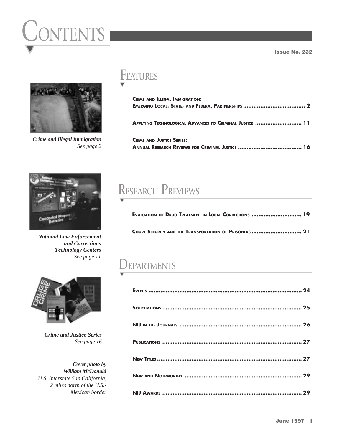# ONTENTS I



*Crime and Illegal Immigration See page 2*

# **FEATURES**

| <b>CRIME AND ILLEGAL IMMIGRATION:</b>                   |
|---------------------------------------------------------|
| APPLYING TECHNOLOGICAL ADVANCES TO CRIMINAL JUSTICE  11 |
| <b>CRIME AND JUSTICE SERIES:</b>                        |



*National Law Enforcement and Corrections Technology Centers See page 11*

# RESEARCH PREVIEWS

| <b>EVALUATION OF DRUG TREATMENT IN LOCAL CORRECTIONS  19</b> |  |
|--------------------------------------------------------------|--|
| COURT SECURITY AND THE TRANSPORTATION OF PRISONERS  21       |  |

# DEPARTMENTS

| 29 |
|----|



*Crime and Justice Series See page 16*

*Cover photo by William McDonald U.S. Interstate 5 in California, 2 miles north of the U.S.- Mexican border* Issue No. 232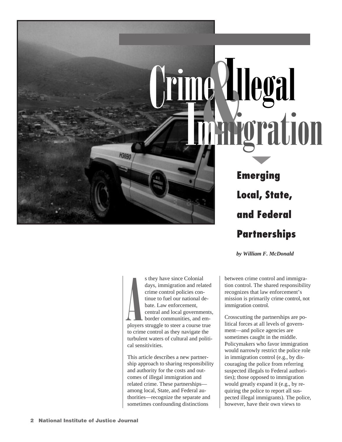# Hegal EY *<u>roration</u>*

**Emerging Local, State, and Federal Partnerships**

*by William F. McDonald*

**A**<br>Ployers ployers struggle to steer a course true to crime control as they navigate the turbulent waters of cultural and political sensitivities. s they have since Colonial days, immigration and related crime control policies continue to fuel our national debate. Law enforcement, central and local governments, border communities, and em-

This article describes a new partnership approach to sharing responsibility and authority for the costs and outcomes of illegal immigration and related crime. These partnerships among local, State, and Federal authorities—recognize the separate and sometimes confounding distinctions

between crime control and immigration control. The shared responsibility recognizes that law enforcement's mission is primarily crime control, not immigration control.

Crosscutting the partnerships are political forces at all levels of government—and police agencies are sometimes caught in the middle. Policymakers who favor immigration would narrowly restrict the police role in immigration control (e.g., by discouraging the police from referring suspected illegals to Federal authorities); those opposed to immigration would greatly expand it (e.g., by requiring the police to report all suspected illegal immigrants). The police, however, have their own views to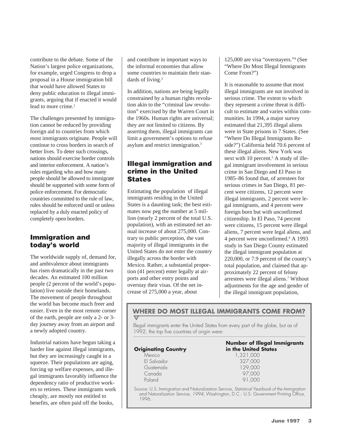contribute to the debate. Some of the Nation's largest police organizations, for example, urged Congress to drop a proposal in a House immigration bill that would have allowed States to deny public education to illegal immigrants, arguing that if enacted it would lead to more crime.<sup>1</sup>

The challenges presented by immigration cannot be reduced by providing foreign aid to countries from which most immigrants originate. People will continue to cross borders in search of better lives. To deter such crossings, nations should exercise border controls and interior enforcement. A nation's rules regarding who and how many people should be allowed to immigrate should be supported with some form of police enforcement. For democratic countries committed to the rule of law, rules should be enforced until or unless replaced by a duly enacted policy of completely open borders.

# Immigration and today's world

The worldwide supply of, demand for, and ambivalence about immigrants has risen dramatically in the past two decades. An estimated 100 million people (2 percent of the world's population) live outside their homelands. The movement of people throughout the world has become much freer and easier. Even in the most remote corner of the earth, people are only a 2- or 3 day journey away from an airport and a newly adopted country.

Industrial nations have begun taking a harder line against illegal immigrants, but they are increasingly caught in a squeeze. Their populations are aging, forcing up welfare expenses, and illegal immigrants favorably influence the dependency ratio of productive workers to retirees. These immigrants work cheaply, are mostly not entitled to benefits, are often paid off the books,

and contribute in important ways to the informal economies that allow some countries to maintain their standards of living.<sup>2</sup>

In addition, nations are being legally constrained by a human rights revolution akin to the "criminal law revolution" exercised by the Warren Court in the 1960s. Human rights are universal; they are not limited to citizens. By asserting them, illegal immigrants can limit a government's options to refuse asylum and restrict immigration.3

# Illegal immigration and crime in the United **States**

Estimating the population of illegal immigrants residing in the United States is a daunting task; the best estimates now peg the number at 5 million (nearly 2 percent of the total U.S. population), with an estimated net annual increase of about 275,000. Contrary to public perception, the vast majority of illegal immigrants in the United States do not enter the country illegally across the border with Mexico. Rather, a substantial proportion (41 percent) enter legally at airports and other entry points and overstay their visas. Of the net increase of 275,000 a year, about

125,000 are visa "overstayers."4 (See "Where Do Most Illegal Immigrants Come From?")

It is reasonable to assume that most illegal immigrants are not involved in serious crime. The extent to which they represent a crime threat is difficult to estimate and varies within communities. In 1994, a major survey estimated that 21,395 illegal aliens were in State prisons in 7 States. (See "Where Do Illegal Immigrants Reside?") California held 70.6 percent of these illegal aliens. New York was next with 10 percent.<sup>5</sup> A study of illegal immigrant involvement in serious crime in San Diego and El Paso in 1985–86 found that, of arrestees for serious crimes in San Diego, 81 percent were citizens, 12 percent were illegal immigrants, 2 percent were legal immigrants, and 4 percent were foreign born but with unconfirmed citizenship. In El Paso, 74 percent were citizens, 15 percent were illegal aliens, 7 percent were legal aliens, and 4 percent were unconfirmed.6 A 1993 study in San Diego County estimated the illegal immigrant population at 220,000, or 7.9 percent of the county's total population, and claimed that approximately 22 percent of felony arrestees were illegal aliens.7 Without adjustments for the age and gender of the illegal immigrant population,

# **WHERE DO MOST ILLEGAL IMMIGRANTS COME FROM?**

Illegal immigrants enter the United States from every part of the globe, but as of 1992, the top five countries of origin were:

|                            | <b>Number of Illegal Immigrants</b> |
|----------------------------|-------------------------------------|
| <b>Originating Country</b> | in the United States                |
| <b>Mexico</b>              | 1,321,000                           |
| El Salvador                | 327,000                             |
| Guatemala                  | 129,000                             |
| Canada                     | 97.000                              |
| Poland                     | 91,000                              |
|                            |                                     |

Source: U.S. Immigration and Naturalization Service, Statistical Yearbook of the Immigration and Naturalization Service, 1994, Washington, D.C.: U.S. Government Printing Office, 1996.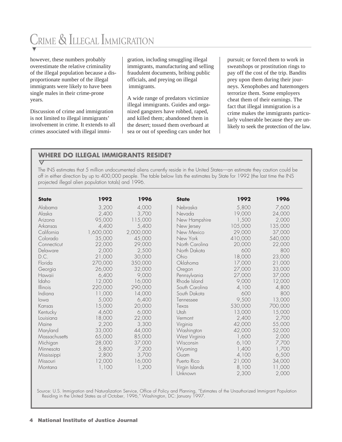# CRIME & ILLEGAL IMMIGRATION

however, these numbers probably overestimate the relative criminality of the illegal population because a disproportionate number of the illegal immigrants were likely to have been single males in their crime-prone years.

Discussion of crime and immigration is not limited to illegal immigrants' involvement in crime. It extends to all crimes associated with illegal immigration, including smuggling illegal immigrants, manufacturing and selling fraudulent documents, bribing public officials, and preying on illegal immigrants.

A wide range of predators victimize illegal immigrants. Guides and organized gangsters have robbed, raped, and killed them; abandoned them in the desert; tossed them overboard at sea or out of speeding cars under hot pursuit; or forced them to work in sweatshops or prostitution rings to pay off the cost of the trip. Bandits prey upon them during their journeys. Xenophobes and hatemongers terrorize them. Some employers cheat them of their earnings. The fact that illegal immigration is a crime makes the immigrants particularly vulnerable because they are unlikely to seek the protection of the law.

# **WHERE DO ILLEGAL IMMIGRANTS RESIDE?**

### $\overline{\vee}$

The INS estimates that 5 million undocumented aliens currently reside in the United States—an estimate they caution could be off in either direction by up to 400,000 people. The table below lists the estimates by State for 1992 (the last time the INS projected illegal alien population totals) and 1996.

| <b>State</b>  | 1992      | 1996      | <b>State</b>   | 1992    | 1996    |
|---------------|-----------|-----------|----------------|---------|---------|
| Alabama       | 3,200     | 4,000     | Nebraska       | 5,800   | 7,600   |
| Alaska        | 2,400     | 3,700     | Nevada         | 19,000  | 24,000  |
| Arizona       | 95,000    | 115,000   | New Hampshire  | 1,500   | 2,000   |
| Arkansas      | 4,400     | 5,400     | New Jersey     | 105,000 | 135,000 |
| California    | 1,600,000 | 2,000,000 | New Mexico     | 29,000  | 37,000  |
| Colorado      | 35,000    | 45,000    | New York       | 410,000 | 540,000 |
| Connecticut   | 22,000    | 29,000    | North Carolina | 20,000  | 22,000  |
| Delaware      | 2,000     | 2,500     | North Dakota   | 600     | 800     |
| D.C.          | 21,000    | 30,000    | Ohio           | 18,000  | 23,000  |
| Florida       | 270,000   | 350,000   | Oklahoma       | 17,000  | 21,000  |
| Georgia       | 26,000    | 32,000    | Oregon         | 27,000  | 33,000  |
| Hawaii        | 6,400     | 9,000     | Pennsylvania   | 27,000  | 37,000  |
| Idaho         | 12,000    | 16,000    | Rhode Island   | 9,000   | 12,000  |
| Illinois      | 220,000   | 290,000   | South Carolina | 4,100   | 4,800   |
| Indiana       | 11,000    | 14,000    | South Dakota   | 600     | 800     |
| lowa          | 5,000     | 6,400     | Tennessee      | 9,500   | 13,000  |
| Kansas        | 15,000    | 20,000    | Texas          | 530,000 | 700,000 |
| Kentucky      | 4,600     | 6,000     | Utah           | 13,000  | 15,000  |
| Louisiana     | 18,000    | 22,000    | Vermont        | 2,400   | 2,700   |
| Maine         | 2,200     | 3,300     | Virginia       | 42,000  | 55,000  |
| Maryland      | 33,000    | 44,000    | Washington     | 42,000  | 52,000  |
| Massachusetts | 65,000    | 85,000    | West Virginia  | 1,600   | 2,000   |
| Michigan      | 28,000    | 37,000    | Wisconsin      | 6,100   | 7,700   |
| Minnesota     | 5,800     | 7,200     | Wyoming        | 1,400   | 1,700   |
| Mississippi   | 2,800     | 3,700     | Guam           | 4,100   | 6,500   |
| Missouri      | 12,000    | 16,000    | Puerto Rico    | 21,000  | 34,000  |
| Montana       | 1,100     | 1,200     | Virgin Islands | 8,100   | 11,000  |
|               |           |           | Unknown        | 2,300   | 2,000   |

Source: U.S. Immigration and Naturalization Service, Office of Policy and Planning, "Estimates of the Unauthorized Immigrant Population Residing in the United States as of October, 1996," Washington, DC: January 1997.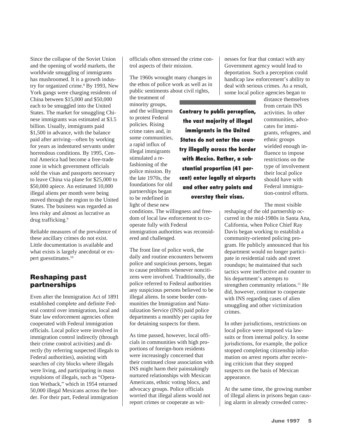Since the collapse of the Soviet Union and the opening of world markets, the worldwide smuggling of immigrants has mushroomed. It is a growth industry for organized crime.<sup>8</sup> By 1993, New York gangs were charging residents of China between \$15,000 and \$50,000 each to be smuggled into the United States. The market for smuggling Chinese immigrants was estimated at \$3.5 billion. Usually, immigrants paid \$1,500 in advance, with the balance paid after arriving—often by working for years as indentured servants under horrendous conditions. By 1995, Central America had become a free-trade zone in which government officials sold the visas and passports necessary to leave China via plane for \$25,000 to \$50,000 apiece. An estimated 10,000 illegal aliens per month were being moved through the region to the United States. The business was regarded as less risky and almost as lucrative as drug trafficking.<sup>9</sup>

Reliable measures of the prevalence of these ancillary crimes do not exist. Little documentation is available and what exists is largely anecdotal or expert guesstimates.10

# Reshaping past partnerships

Even after the Immigration Act of 1891 established complete and definite Federal control over immigration, local and State law enforcement agencies often cooperated with Federal immigration officials. Local police were involved in immigration control indirectly (through their crime control activities) and directly (by referring suspected illegals to Federal authorities), assisting with searches of city blocks where illegals were living, and participating in mass expulsions of illegals, such as "Operation Wetback," which in 1954 returned 50,000 illegal Mexicans across the border. For their part, Federal immigration

officials often stressed the crime control aspects of their mission.

The 1960s wrought many changes in the ethos of police work as well as in public sentiments about civil rights,

the treatment of minority groups, and the willingness to protest Federal policies. Rising crime rates and, in some communities, a rapid influx of illegal immigrants stimulated a refashioning of the police mission. By the late 1970s, the foundations for old partnerships began to be redefined in light of these new

conditions. The willingness and freedom of local law enforcement to cooperate fully with Federal immigration authorities was reconsidered and challenged.

The front line of police work, the daily and routine encounters between police and suspicious persons, began to cause problems whenever noncitizens were involved. Traditionally, the police referred to Federal authorities any suspicious persons believed to be illegal aliens. In some border communities the Immigration and Naturalization Service (INS) paid police departments a monthly per capita fee for detaining suspects for them.

As time passed, however, local officials in communities with high proportions of foreign-born residents were increasingly concerned that their continued close association with INS might harm their painstakingly nurtured relationships with Mexican Americans, ethnic voting blocs, and advocacy groups. Police officials worried that illegal aliens would not report crimes or cooperate as wit-

nesses for fear that contact with any Government agency would lead to deportation. Such a perception could handicap law enforcement's ability to deal with serious crimes. As a result, some local police agencies began to

**Contrary to public perception, the vast majority of illegal immigrants in the United States do not enter the country illegally across the border with Mexico. Rather, a substantial proportion (41 percent) enter legally at airports and other entry points and overstay their visas.**

distance themselves from certain INS activities. In other communities, advocates for immigrants, refugees, and ethnic groups wielded enough influence to impose restrictions on the type of involvement their local police should have with Federal immigration-control efforts.

The most visible

reshaping of the old partnership occurred in the mid-1980s in Santa Ana, California, when Police Chief Ray Davis began working to establish a community-oriented policing program. He publicly announced that his department would no longer participate in residential raids and street roundups; he maintained that such tactics were ineffective and counter to his department's attempts to strengthen community relations.<sup>11</sup> He did, however, continue to cooperate with INS regarding cases of alien smuggling and other victimization crimes.

In other jurisdictions, restrictions on local police were imposed via lawsuits or from internal policy. In some jurisdictions, for example, the police stopped completing citizenship information on arrest reports after receiving criticism that they stopped suspects on the basis of Mexican appearance.

At the same time, the growing number of illegal aliens in prisons began causing alarm in already crowded correc-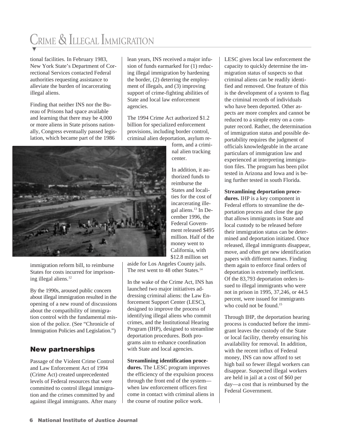# CRIME & ILLEGAL IMMIGRATION

tional facilities. In February 1983, New York State's Department of Correctional Services contacted Federal authorities requesting assistance to alleviate the burden of incarcerating illegal aliens.

Finding that neither INS nor the Bureau of Prisons had space available and learning that there may be 4,000 or more aliens in State prisons nationally, Congress eventually passed legislation, which became part of the 1986

lean years, INS received a major infusion of funds earmarked for (1) reducing illegal immigration by hardening the border, (2) deterring the employment of illegals, and (3) improving support of crime-fighting abilities of State and local law enforcement agencies.

The 1994 Crime Act authorized \$1.2 billion for specialized enforcement provisions, including border control, criminal alien deportation, asylum re-

> form, and a criminal alien tracking center.

In addition, it authorized funds to reimburse the States and localities for the cost of incarcerating illegal aliens.<sup>13</sup> In December 1996, the Federal Government released \$495 million. Half of the money went to California, with \$12.8 million set

aside for Los Angeles County jails. The rest went to 48 other States.<sup>14</sup>

In the wake of the Crime Act, INS has launched two major initiatives addressing criminal aliens: the Law Enforcement Support Center (LESC), designed to improve the process of identifying illegal aliens who commit crimes, and the Institutional Hearing Program (IHP), designed to streamline deportation procedures. Both programs aim to enhance coordination with State and local agencies.

**Streamlining identification procedures.** The LESC program improves the efficiency of the expulsion process through the front end of the system when law enforcement officers first come in contact with criminal aliens in the course of routine police work.

LESC gives local law enforcement the capacity to quickly determine the immigration status of suspects so that criminal aliens can be readily identified and removed. One feature of this is the development of a system to flag the criminal records of individuals who have been deported. Other aspects are more complex and cannot be reduced to a simple entry on a computer record. Rather, the determination of immigration status and possible deportability requires the judgment of officials knowledgeable in the arcane particulars of immigration law and experienced at interpreting immigration files. The program has been pilot tested in Arizona and Iowa and is being further tested in south Florida.

**Streamlining deportation proce-**

**dures.** IHP is a key component in Federal efforts to streamline the deportation process and close the gap that allows immigrants in State and local custody to be released before their immigration status can be determined and deportation initiated. Once released, illegal immigrants disappear, move, and often get new identification papers with different names. Finding them again to enforce final orders of deportation is extremely inefficient. Of the 83,793 deportation orders issued to illegal immigrants who were not in prison in 1995, 37,246, or 44.5 percent, were issued for immigrants who could not be found  $15$ 

Through IHP, the deportation hearing process is conducted before the immigrant leaves the custody of the State or local facility, thereby ensuring his availability for removal. In addition, with the recent influx of Federal money, INS can now afford to set high bail so fewer illegal workers can disappear. Suspected illegal workers are held in jail at a cost of \$60 per day—a cost that is reimbursed by the Federal Government.



immigration reform bill, to reimburse States for costs incurred for imprisoning illegal aliens.<sup>12</sup>

By the 1990s, aroused public concern about illegal immigration resulted in the opening of a new round of discussions about the compatibility of immigration control with the fundamental mission of the police. (See "Chronicle of Immigration Policies and Legislation.")

# New partnerships

Passage of the Violent Crime Control and Law Enforcement Act of 1994 (Crime Act) created unprecedented levels of Federal resources that were committed to control illegal immigration and the crimes committed by and against illegal immigrants. After many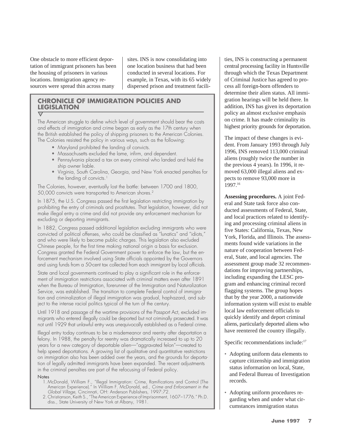One obstacle to more efficient deportation of immigrant prisoners has been the housing of prisoners in various locations. Immigration agency resources were spread thin across many

sites. INS is now consolidating into one location business that had been conducted in several locations. For example, in Texas, with its 65 widely dispersed prison and treatment facili-

#### **CHRONICLE OF IMMIGRATION POLICIES AND LEGISLATION**  $\overline{\nabla}$

The American struggle to define which level of government should bear the costs and effects of immigration and crime began as early as the 17th century when the British established the policy of shipping prisoners to the American Colonies. The Colonies resisted the policy in various ways, such as the following:

- Maryland prohibited the landing of convicts.
- Massachusetts excluded the lame, infirm, and dependent.
- Pennsylvania placed a tax on every criminal who landed and held the ship owner liable.
- Virginia, South Carolina, Georgia, and New York enacted penalties for the landing of convicts.<sup>1</sup>

The Colonies, however, eventually lost the battle: between 1700 and 1800, 50,000 convicts were transported to American shores.2

In 1875, the U.S. Congress passed the first legislation restricting immigration by prohibiting the entry of criminals and prostitutes. That legislation, however, did not make illegal entry a crime and did not provide any enforcement mechanism for excluding or deporting immigrants.

In 1882, Congress passed additional legislation excluding immigrants who were convicted of political offenses, who could be classified as "lunatics" and "idiots," and who were likely to become public charges. This legislation also excluded Chinese people, for the first time making national origin a basis for exclusion. Congress granted the Federal Government power to enforce the law, but the enforcement mechanism involved using State officials appointed by the Governors and using funds from a 50-cent tax collected from each immigrant by local officials.

State and local governments continued to play a significant role in the enforcement of immigration restrictions associated with criminal matters even after 1891 when the Bureau of Immigration, forerunner of the Immigration and Naturalization Service, was established. The transition to complete Federal control of immigration and criminalization of illegal immigration was gradual, haphazard, and subject to the intense racial politics typical of the turn of the century.

Until 1918 and passage of the wartime provisions of the Passport Act, excluded immigrants who entered illegally could be deported but not criminally prosecuted. It was not until 1929 that unlawful entry was unequivocally established as a Federal crime.

Illegal entry today continues to be a misdemeanor and reentry after deportation a felony. In 1988, the penalty for reentry was dramatically increased to up to 20 years for a new category of deportable alien—"aggravated felon"—created to help speed deportations. A growing list of qualitative and quantitative restrictions on immigration also has been added over the years, and the grounds for deportation of legally admitted immigrants have been expanded. The recent adjustments in the criminal penalties are part of the refocusing of Federal policy.

#### **Notes**

- 1. McDonald, William F., "Illegal Immigration: Crime, Ramifications and Control (The American Experience)." In William F. McDonald, ed., Crime and Enforcement in the Global Village, Cincinnati, OH: Anderson Publishers, 1997:72.
- 2. Christianson, Keith S., "The American Experience of Imprisonment, 1607–1776." Ph.D. diss., State University of New York at Albany, 1981.

ties, INS is constructing a permanent central processing facility in Huntsville through which the Texas Department of Criminal Justice has agreed to process all foreign-born offenders to determine their alien status. All immigration hearings will be held there. In addition, INS has given its deportation policy an almost exclusive emphasis on crime. It has made criminality its highest priority grounds for deportation.

The impact of these changes is evident. From January 1993 through July 1996, INS removed 113,000 criminal aliens (roughly twice the number in the previous 4 years). In 1996, it removed 63,000 illegal aliens and expects to remove 93,000 more in 1997.16

**Assessing procedures.** A joint Federal and State task force also conducted assessments of Federal, State, and local practices related to identifying and processing criminal aliens in five States: California, Texas, New York, Florida, and Illinois. The assessments found wide variations in the nature of cooperation between Federal, State, and local agencies. The assessment group made 32 recommendations for improving partnerships, including expanding the LESC program and enhancing criminal record flagging systems. The group hopes that by the year 2000, a nationwide information system will exist to enable local law enforcement officials to quickly identify and deport criminal aliens, particularly deported aliens who have reentered the country illegally.

Specific recommendations include:<sup>17</sup>

- Adopting uniform data elements to capture citizenship and immigration status information on local, State, and Federal Bureau of Investigation records.
- Adopting uniform procedures regarding when and under what circumstances immigration status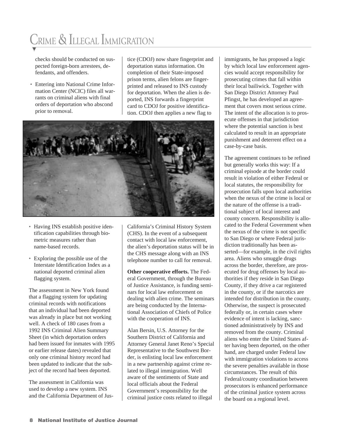# CRIME & ILLEGAL IMMIGRATION

checks should be conducted on suspected foreign-born arrestees, defendants, and offenders.

• Entering into National Crime Information Center (NCIC) files all warrants on criminal aliens with final orders of deportation who abscond prior to removal.

tice (CDOJ) now share fingerprint and deportation status information. On completion of their State-imposed prison terms, alien felons are fingerprinted and released to INS custody for deportation. When the alien is deported, INS forwards a fingerprint card to CDOJ for positive identification. CDOJ then applies a new flag to



- Having INS establish positive identification capabilities through biometric measures rather than name-based records.
- Exploring the possible use of the Interstate Identification Index as a national deported criminal alien flagging system.

The assessment in New York found that a flagging system for updating criminal records with notifications that an individual had been deported was already in place but not working well. A check of 180 cases from a 1992 INS Criminal Alien Summary Sheet (in which deportation orders had been issued for inmates with 1995 or earlier release dates) revealed that only one criminal history record had been updated to indicate that the subject of the record had been deported.

The assessment in California was used to develop a new system. INS and the California Department of JusCalifornia's Criminal History System (CHS). In the event of a subsequent contact with local law enforcement, the alien's deportation status will be in the CHS message along with an INS telephone number to call for removal.

**Other cooperative efforts.** The Federal Government, through the Bureau of Justice Assistance, is funding seminars for local law enforcement on dealing with alien crime. The seminars are being conducted by the International Association of Chiefs of Police with the cooperation of INS.

Alan Bersin, U.S. Attorney for the Southern District of California and Attorney General Janet Reno's Special Representative to the Southwest Border, is enlisting local law enforcement in a new partnership against crime related to illegal immigration. Well aware of the sentiments of State and local officials about the Federal Government's responsibility for the criminal justice costs related to illegal

immigrants, he has proposed a logic by which local law enforcement agencies would accept responsibility for prosecuting crimes that fall within their local bailiwick. Together with San Diego District Attorney Paul Pfingst, he has developed an agreement that covers most serious crime. The intent of the allocation is to prosecute offenses in that jurisdiction where the potential sanction is best calculated to result in an appropriate punishment and deterrent effect on a case-by-case basis.

The agreement continues to be refined but generally works this way: If a criminal episode at the border could result in violation of either Federal or local statutes, the responsibility for prosecution falls upon local authorities when the nexus of the crime is local or the nature of the offense is a traditional subject of local interest and county concern. Responsibility is allocated to the Federal Government when the nexus of the crime is not specific to San Diego or where Federal jurisdiction traditionally has been asserted—for example, in the civil rights area. Aliens who smuggle drugs across the border, therefore, are prosecuted for drug offenses by local authorities if they reside in San Diego County, if they drive a car registered in the county, or if the narcotics are intended for distribution in the county. Otherwise, the suspect is prosecuted federally or, in certain cases where evidence of intent is lacking, sanctioned administratively by INS and removed from the county. Criminal aliens who enter the United States after having been deported, on the other hand, are charged under Federal law with immigration violations to access the severe penalties available in those circumstances. The result of this Federal/county coordination between prosecutors is enhanced performance of the criminal justice system across the board on a regional level.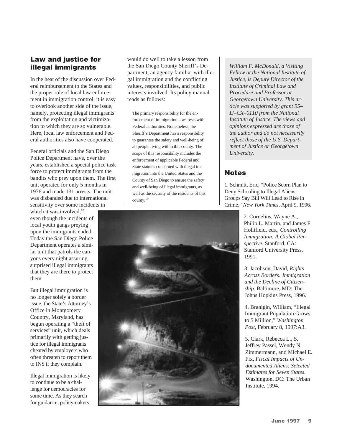# Law and justice for illegal immigrants

In the heat of the discussion over Federal reimbursement to the States and the proper role of local law enforcement in immigration control, it is easy to overlook another side of the issue, namely, protecting illegal immigrants from the exploitation and victimization to which they are so vulnerable. Here, local law enforcement and Federal authorities also have cooperated.

Federal officials and the San Diego Police Department have, over the years, established a special police task force to protect immigrants from the bandits who prey upon them. The first unit operated for only 5 months in 1976 and made 131 arrests. The unit was disbanded due to international sensitivity over some incidents in

which it was involved.<sup>18</sup> even though the incidents of local youth gangs preying upon the immigrants ended. Today the San Diego Police Department operates a similar unit that patrols the canyons every night assuring surprised illegal immigrants that they are there to protect them.

But illegal immigration is no longer solely a border issue; the State's Attorney's Office in Montgomery Country, Maryland, has begun operating a "theft of services" unit, which deals primarily with getting justice for illegal immigrants cheated by employers who often threaten to report them to INS if they complain.

Illegal immigration is likely to continue to be a challenge for democracies for some time. As they search for guidance, policymakers

would do well to take a lesson from the San Diego County Sheriff's Department, an agency familiar with illegal immigration and the conflicting values, responsibilities, and public interests involved. Its policy manual reads as follows:

The primary responsibility for the enforcement of immigration laws rests with Federal authorities. Nonetheless, the Sheriff's Department has a responsibility to guarantee the safety and well-being of all people living within this county. The scope of this responsibility includes the enforcement of applicable Federal and State statutes concerned with illegal immigration into the United States and the County of San Diego to ensure the safety and well-being of illegal immigrants, as well as the security of the residents of this county.19

*William F. McDonald, a Visiting Fellow at the National Institute of Justice, is Deputy Director of the Institute of Criminal Law and Procedure and Professor at Georgetown University. This article was supported by grant 95– IJ–CX–0110 from the National Institute of Justice. The views and opinions expressed are those of the author and do not necessarily reflect those of the U.S. Department of Justice or Georgetown University.*

# **Notes**

1. Schmitt, Eric, "Police Scorn Plan to Deny Schooling to Illegal Aliens: Groups Say Bill Will Lead to Rise in Crime," *New York Times,* April 9, 1996.

> 2. Cornelius, Wayne A., Philip L. Martin, and James F. Hollifield, eds., *Controlling Immigration: A Global Perspective*. Stanford, CA: Stanford University Press, 1991.

3. Jacobson, David, *Rights Across Borders: Immigration and the Decline of Citizenship*. Baltimore, MD: The Johns Hopkins Press, 1996.

4. Branigin, William, "Illegal Immigrant Population Grows to 5 Million," *Washington Post*, February 8, 1997:A3.

5. Clark, Rebecca L., S. Jeffrey Passel, Wendy N. Zimmermann, and Michael E. Fix, *Fiscal Impacts of Undocumented Aliens: Selected Estimates for Seven States*. Washington, DC: The Urban Institute, 1994.

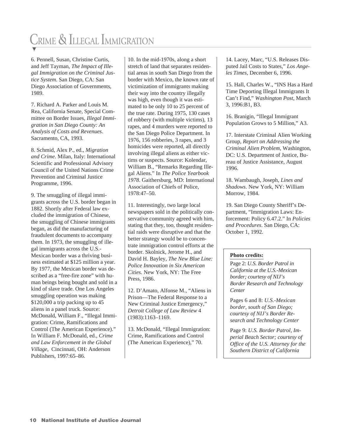# CRIME & ILLEGAL IMMIGRATION

6. Pennell, Susan, Christine Curtis, and Jeff Tayman, *The Impact of Illegal Immigration on the Criminal Justice System*. San Diego, CA: San Diego Association of Governments, 1989.

7. Richard A. Parker and Louis M. Rea, California Senate, Special Committee on Border Issues, *Illegal Immigration in San Diego County: An Analysis of Costs and Revenues*. Sacramento, CA, 1993.

8. Schmid, Alex P., ed., *Migration and Crime*. Milan, Italy: International Scientific and Professional Advisory Council of the United Nations Crime Prevention and Criminal Justice Programme, 1996.

9. The smuggling of illegal immigrants across the U.S. border began in 1882. Shortly after Federal law excluded the immigration of Chinese, the smuggling of Chinese immigrants began, as did the manufacturing of fraudulent documents to accompany them. In 1973, the smuggling of illegal immigrants across the U.S.- Mexican border was a thriving business estimated at \$125 million a year. By 1977, the Mexican border was described as a "free-fire zone" with human beings being bought and sold in a kind of slave trade. One Los Angeles smuggling operation was making \$120,000 a trip packing up to 45 aliens in a panel truck. Source: McDonald, William F., "Illegal Immigration: Crime, Ramifications and Control (The American Experience)." In William F. McDonald, ed., *Crime and Law Enforcement in the Global Village*, Cincinnati, OH: Anderson Publishers, 1997:65–86.

10. In the mid-1970s, along a short stretch of land that separates residential areas in south San Diego from the border with Mexico, the known rate of victimization of immigrants making their way into the country illegally was high, even though it was estimated to be only 10 to 25 percent of the true rate. During 1975, 130 cases of robbery (with multiple victims), 13 rapes, and 4 murders were reported to the San Diego Police Department. In 1976, 156 robberies, 3 rapes, and 3 homicides were reported, all directly involving illegal aliens as either victims or suspects. Source: Kolendar, William B., "Remarks Regarding Illegal Aliens." In *The Police Yearbook 1978*. Gaithersburg, MD: International Association of Chiefs of Police, 1978:47–50.

11. Interestingly, two large local newspapers sold in the politically conservative community agreed with him, stating that they, too, thought residential raids were disruptive and that the better strategy would be to concentrate immigration control efforts at the border. Skolnick, Jerome H., and David H. Bayley, *The New Blue Line: Police Innovation in Six American Cities*. New York, NY: The Free Press, 1986.

12. D'Amato, Alfonse M., "Aliens in Prison—The Federal Response to a New Criminal Justice Emergency," *Detroit College of Law Review* 4 (1983):1163–1169.

13. McDonald, "Illegal Immigration: Crime, Ramifications and Control (The American Experience)," 70.

14. Lacey, Marc, "U.S. Releases Disputed Jail Costs to States," *Los Angeles Times*, December 6, 1996.

15. Hall, Charles W., "INS Has a Hard Time Deporting Illegal Immigrants It Can't Find," *Washington Post*, March 3, 1996:B1, B3.

16. Branigin, "Illegal Immigrant Population Grows to 5 Million," A3.

17. Interstate Criminal Alien Working Group, *Report on Addressing the Criminal Alien Problem*, Washington, DC: U.S. Department of Justice, Bureau of Justice Assistance, August 1996.

18. Wambaugh, Joseph, *Lines and Shadows*. New York, NY: William Morrow, 1984.

19. San Diego County Sheriff's Department, "Immigration Laws: Enforcement: Policy 6.47.2." In *Policies and Procedures*. San Diego, CA: October 1, 1992.

#### **Photo credits:**

Page 2: *U.S. Border Patrol in California at the U.S.-Mexican border; courtesy of NIJ's Border Research and Technology Center*

Pages 6 and 8: *U.S.-Mexican border, south of San Diego; courtesy of NIJ's Border Research and Technology Center*

Page 9: *U.S. Border Patrol, Imperial Beach Sector; courtesy of Office of the U.S. Attorney for the Southern District of California*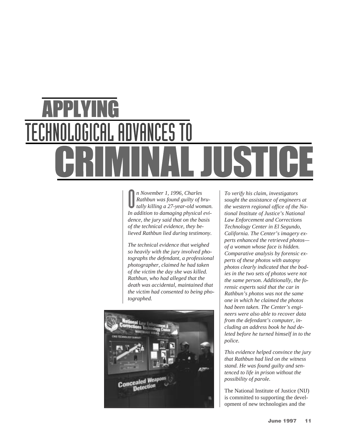# ADVANCES TO

O *n November 1, 1996, Charles Rathbun was found guilty of brutally killing a 27-year-old woman. In addition to damaging physical evidence, the jury said that on the basis of the technical evidence, they believed Rathbun lied during testimony.*

*The technical evidence that weighed so heavily with the jury involved photographs the defendant, a professional photographer, claimed he had taken of the victim the day she was killed. Rathbun, who had alleged that the death was accidental, maintained that the victim had consented to being photographed.*



*To verify his claim, investigators sought the assistance of engineers at the western regional office of the National Institute of Justice's National Law Enforcement and Corrections Technology Center in El Segundo, California. The Center's imagery experts enhanced the retrieved photos of a woman whose face is hidden. Comparative analysis by forensic experts of these photos with autopsy photos clearly indicated that the bodies in the two sets of photos were not the same person. Additionally, the forensic experts said that the car in Rathbun's photos was not the same one in which he claimed the photos had been taken. The Center's engineers were also able to recover data from the defendant's computer, including an address book he had deleted before he turned himself in to the police.*

*This evidence helped convince the jury that Rathbun had lied on the witness stand. He was found guilty and sentenced to life in prison without the possibility of parole.*

The National Institute of Justice (NIJ) is committed to supporting the development of new technologies and the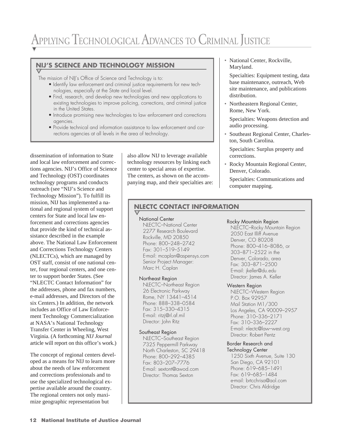# APPLYING TECHNOLOGICAL ADVANCES TO CRIMINAL JUSTICE

## **NIJ'S SCIENCE AND TECHNOLOGY MISSION**

The mission of NIJ's Office of Science and Technology is to:

- Identify law enforcement and criminal justice requirements for new technologies, especially at the State and local level.
- Find, research, and develop new technologies and new applications to existing technologies to improve policing, corrections, and criminal justice in the United States.
- Introduce promising new technologies to law enforcement and corrections agencies.
- Provide technical and information assistance to law enforcement and corrections agencies at all levels in the area of technology.

dissemination of information to State and local law enforcement and corrections agencies. NIJ's Office of Science and Technology (OST) coordinates technology programs and conducts outreach (see "NIJ's Science and Technology Mission"). To fulfill its mission, NIJ has implemented a national and regional system of support centers for State and local law enforcement and corrections agencies that provide the kind of technical assistance described in the example above. The National Law Enforcement and Corrections Technology Centers (NLECTCs), which are managed by OST staff, consist of one national center, four regional centers, and one center to support border States. (See "NLECTC Contact Information" for the addresses, phone and fax numbers, e-mail addresses, and Directors of the six Centers.) In addition, the network includes an Office of Law Enforcement Technology Commercialization at NASA's National Technology Transfer Center in Wheeling, West Virginia. (A forthcoming *NIJ Journal* article will report on this office's work.)

The concept of regional centers developed as a means for NIJ to learn more about the needs of law enforcement and corrections professionals and to use the specialized technological expertise available around the country. The regional centers not only maximize geographic representation but

also allow NIJ to leverage available technology resources by linking each center to special areas of expertise. The centers, as shown on the accompanying map, and their specialties are: • National Center, Rockville, Maryland.

Specialties: Equipment testing, data base maintenance, outreach, Web site maintenance, and publications distribution.

- Northeastern Regional Center, Rome, New York.
	- Specialties: Weapons detection and audio processing.
- Southeast Regional Center, Charleston, South Carolina.

Specialties: Surplus property and corrections.

• Rocky Mountain Regional Center, Denver, Colorado.

Specialties: Communications and computer mapping.

## **NLECTC CONTACT INFORMATION**

#### National Center

NLECTC–National Center 2277 Research Boulevard Rockville, MD 20850 Phone: 800–248–2742 Fax: 301–519–5149 E-mail: mcaplan@aspensys.com Senior Project Manager: Marc H. Caplan

#### Northeast Region

NLECTC–Northeast Region 26 Electronic Parkway Rome, NY 13441–4514 Phone: 888–338–0584 Fax: 315–330–4315 E-mail: ritzj@rl.af.mil Director: John Ritz

#### Southeast Region

NLECTC–Southeast Region 7325 Peppermill Parkway North Charleston, SC 29418 Phone: 800–292–4385 Fax: 803–207–7776 E-mail: sextont@awod.com Director: Thomas Sexton

#### Rocky Mountain Region

NLECTC–Rocky Mountain Region 2050 East Illiff Avenue Denver, CO 80208 Phone: 800–416–8086, or 303–871–2522 in the Denver, Colorado, area Fax: 303–871–2500 E-mail: jkeller@du.edu Director: James A. Keller

### Western Region

NLECTC–Western Region P.O. Box 92957 Mail Station M1/300 Los Angeles, CA 90009–2957 Phone: 310–336–2171 Fax: 310–336–2227 E-mail: nlectc@law–west.org Director: Robert Pentz

# Border Research and

Technology Center 1250 Sixth Avenue, Suite 130 San Diego, CA 92101 Phone: 619–685–1491 Fax: 619–685–1484 e-mail: brtcchrisa@aol.com Director: Chris Aldridge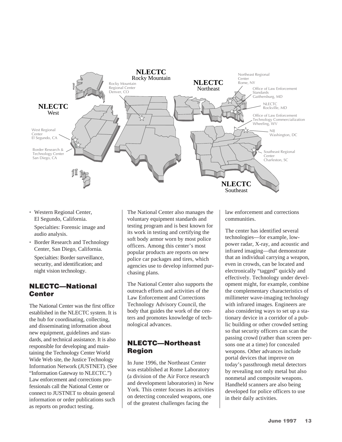

• Western Regional Center, El Segundo, California.

Specialties: Forensic image and audio analysis.

• Border Research and Technology Center, San Diego, California. Specialties: Border surveillance, security, and identification; and night vision technology.

# NLECTC—National **Center**

The National Center was the first office established in the NLECTC system. It is the hub for coordinating, collecting, and disseminating information about new equipment, guidelines and standards, and technical assistance. It is also responsible for developing and maintaining the Technology Center World Wide Web site, the Justice Technology Information Network (JUSTNET). (See "Information Gateway to NLECTC.") Law enforcement and corrections professionals call the National Center or connect to JUSTNET to obtain general information or order publications such as reports on product testing.

The National Center also manages the voluntary equipment standards and testing program and is best known for its work in testing and certifying the soft body armor worn by most police officers. Among this center's most popular products are reports on new police car packages and tires, which agencies use to develop informed purchasing plans.

The National Center also supports the outreach efforts and activities of the Law Enforcement and Corrections Technology Advisory Council, the body that guides the work of the centers and promotes knowledge of technological advances.

# NLECTC—Northeast Region

In June 1996, the Northeast Center was established at Rome Laboratory (a division of the Air Force research and development laboratories) in New York. This center focuses its activities on detecting concealed weapons, one of the greatest challenges facing the

law enforcement and corrections communities.

The center has identified several technologies—for example, lowpower radar, X-ray, and acoustic and infrared imaging—that demonstrate that an individual carrying a weapon, even in crowds, can be located and electronically "tagged" quickly and effectively. Technology under development might, for example, combine the complementary characteristics of millimeter wave-imaging technology with infrared images. Engineers are also considering ways to set up a stationary device in a corridor of a public building or other crowded setting so that security officers can scan the passing crowd (rather than screen persons one at a time) for concealed weapons. Other advances include portal devices that improve on today's passthrough metal detectors by revealing not only metal but also nonmetal and composite weapons. Handheld scanners are also being developed for police officers to use in their daily activities.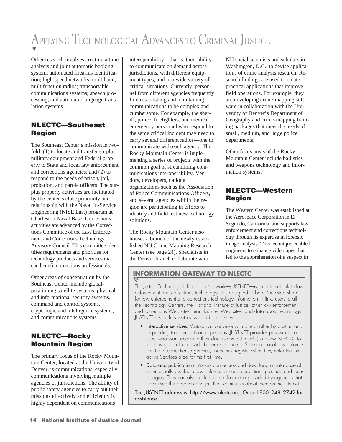# APPLYING TECHNOLOGICAL ADVANCES TO CRIMINAL JUSTICE

Other research involves creating a time analysis and joint automatic booking system; automated firearms identification; high-speed networks; multiband, multifunction radios; transportable communications systems; speech processing; and automatic language translation systems.

# NLECTC—Southeast Region

The Southeast Center's mission is twofold: (1) to locate and transfer surplus military equipment and Federal property to State and local law enforcement and corrections agencies; and (2) to respond to the needs of prison, jail, probation, and parole officers. The surplus property activities are facilitated by the center's close proximity and relationship with the Naval In-Service Engineering (NISE East) program at Charleston Naval Base. Corrections activities are advanced by the Corrections Committee of the Law Enforcement and Corrections Technology Advisory Council. This committee identifies requirements and priorities for technology products and services that can benefit corrections professionals.

Other areas of concentration by the Southeast Center include globalpositioning satellite systems, physical and informational security systems, command and control systems, cryptologic and intelligence systems, and communications systems.

# NLECTC—Rocky Mountain Region

The primary focus of the Rocky Mountain Center, located at the University of Denver, is communications, especially communications involving multiple agencies or jurisdictions. The ability of public safety agencies to carry out their missions effectively and efficiently is highly dependent on communications

interoperability—that is, their ability to communicate on demand across jurisdictions, with different equipment types, and in a wide variety of critical situations. Currently, personnel from different agencies frequently find establishing and maintaining communications to be complex and cumbersome. For example, the sheriff, police, firefighters, and medical emergency personnel who respond to the same critical incident may need to carry several different radios—one to communicate with each agency. The Rocky Mountain Center is implementing a series of projects with the common goal of streamlining communications interoperability. Vendors, developers, national organizations such as the Association of Police Communications Officers, and several agencies within the region are participating in efforts to identify and field test new technology solutions.

The Rocky Mountain Center also houses a branch of the newly established NIJ Crime Mapping Research Center (see page 24). Specialists in the Denver branch collaborate with

NIJ social scientists and scholars in Washington, D.C., to devise applications of crime analysis research. Research findings are used to create practical applications that improve field operations. For example, they are developing crime-mapping software in collaboration with the University of Denver's Department of Geography and crime-mapping training packages that meet the needs of small, medium, and large police departments.

Other focus areas of the Rocky Mountain Center include ballistics and weapons technology and information systems.

# NLECTC—Western Region

The Western Center was established at the Aerospace Corporation in El Segundo, California, and supports law enforcement and corrections technology through its expertise in forensic image analysis. This technique enabled engineers to enhance videotapes that led to the apprehension of a suspect in

# **INFORMATION GATEWAY TO NLECTC**

The Justice Technology Information Network—JUSTNET—is the Internet link to law enforcement and corrections technology. It is designed to be a "one-stop shop" for law enforcement and corrections technology information. It links users to all the Technology Centers, the National Institute of Justice, other law enforcement and corrections Web sites, manufacturer Web sites, and data about technology. JUSTNET also offers visitors two additional services:

- Interactive services. Visitors can converse with one another by posting and responding to comments and questions. JUSTNET provides passwords for users who want access to their discussions restricted. (To allow NLECTC to track usage and to provide better assistance to State and local law enforcement and corrections agencies, users must register when they enter the Interactive Services area for the first time.)
- Data and publications. Visitors can access and download a data base of commercially available law enforcement and corrections products and technologies. They can also be linked to information provided by agencies that have used the products and put their comments about them on the Internet.

The JUSTNET address is: http://www.nlectc.org. Or call 800–248–2742 for assistance.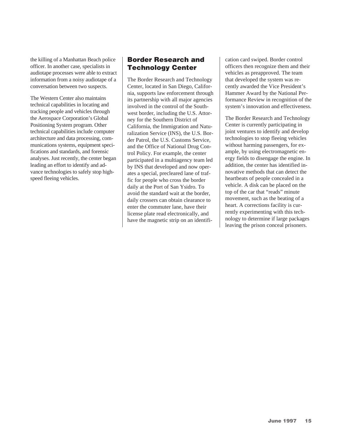the killing of a Manhattan Beach police officer. In another case, specialists in audiotape processes were able to extract information from a noisy audiotape of a conversation between two suspects.

The Western Center also maintains technical capabilities in locating and tracking people and vehicles through the Aerospace Corporation's Global Positioning System program. Other technical capabilities include computer architecture and data processing, communications systems, equipment specifications and standards, and forensic analyses. Just recently, the center began leading an effort to identify and advance technologies to safely stop highspeed fleeing vehicles.

# Border Research and Technology Center

The Border Research and Technology Center, located in San Diego, California, supports law enforcement through its partnership with all major agencies involved in the control of the Southwest border, including the U.S. Attorney for the Southern District of California, the Immigration and Naturalization Service (INS), the U.S. Border Patrol, the U.S. Customs Service, and the Office of National Drug Control Policy. For example, the center participated in a multiagency team led by INS that developed and now operates a special, precleared lane of traffic for people who cross the border daily at the Port of San Ysidro. To avoid the standard wait at the border, daily crossers can obtain clearance to enter the commuter lane, have their license plate read electronically, and have the magnetic strip on an identification card swiped. Border control officers then recognize them and their vehicles as preapproved. The team that developed the system was recently awarded the Vice President's Hammer Award by the National Performance Review in recognition of the system's innovation and effectiveness.

The Border Research and Technology Center is currently participating in joint ventures to identify and develop technologies to stop fleeing vehicles without harming passengers, for example, by using electromagnetic energy fields to disengage the engine. In addition, the center has identified innovative methods that can detect the heartbeats of people concealed in a vehicle. A disk can be placed on the top of the car that "reads" minute movement, such as the beating of a heart. A corrections facility is currently experimenting with this technology to determine if large packages leaving the prison conceal prisoners.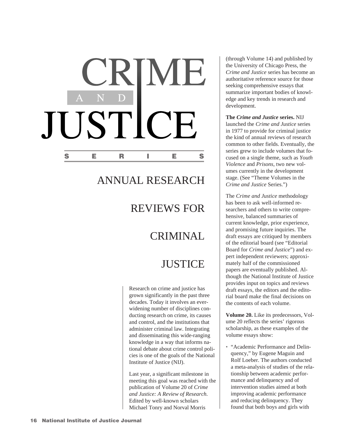# CRIME D. JUSTICE S E R I E S

# ANNUAL RESEARCH

# REVIEWS FOR

# CRIMINAL

# **JUSTICE**

Research on crime and justice has grown significantly in the past three decades. Today it involves an everwidening number of disciplines conducting research on crime, its causes and control, and the institutions that administer criminal law. Integrating and disseminating this wide-ranging knowledge in a way that informs national debate about crime control policies is one of the goals of the National Institute of Justice (NIJ).

Last year, a significant milestone in meeting this goal was reached with the publication of Volume 20 of *Crime and Justice: A Review of Research*. Edited by well-known scholars Michael Tonry and Norval Morris

(through Volume 14) and published by the University of Chicago Press, the *Crime and Justice* series has become an authoritative reference source for those seeking comprehensive essays that summarize important bodies of knowledge and key trends in research and development.

#### **The** *Crime and Justice* **series.** NIJ launched the *Crime and Justice* series

in 1977 to provide for criminal justice the kind of annual reviews of research common to other fields. Eventually, the series grew to include volumes that focused on a single theme, such as *Youth Violence* and *Prisons*, two new volumes currently in the development stage. (See "Theme Volumes in the *Crime and Justice* Series.")

The *Crime and Justice* methodology has been to ask well-informed researchers and others to write comprehensive, balanced summaries of current knowledge, prior experience, and promising future inquiries. The draft essays are critiqued by members of the editorial board (see "Editorial Board for *Crime and Justice*") and expert independent reviewers; approximately half of the commissioned papers are eventually published. Although the National Institute of Justice provides input on topics and reviews draft essays, the editors and the editorial board make the final decisions on the contents of each volume.

**Volume 20.** Like its predecessors, Volume 20 reflects the series' rigorous scholarship, as these examples of the volume essays show:

• "Academic Performance and Delinquency," by Eugene Maguin and Rolf Loeber. The authors conducted a meta-analysis of studies of the relationship between academic performance and delinquency and of intervention studies aimed at both improving academic performance and reducing delinquency. They found that both boys and girls with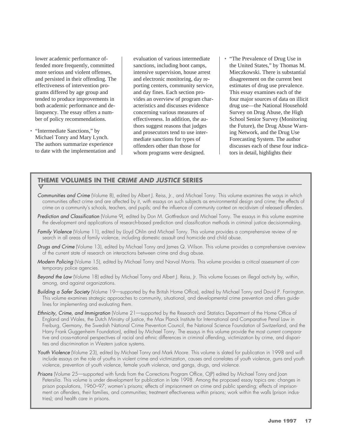lower academic performance offended more frequently, committed more serious and violent offenses, and persisted in their offending. The effectiveness of intervention programs differed by age group and tended to produce improvements in both academic performance and delinquency. The essay offers a number of policy recommendations.

• "Intermediate Sanctions," by Michael Tonry and Mary Lynch. The authors summarize experience to date with the implementation and evaluation of various intermediate sanctions, including boot camps, intensive supervision, house arrest and electronic monitoring, day reporting centers, community service, and day fines. Each section provides an overview of program characteristics and discusses evidence concerning various measures of effectiveness. In addition, the authors suggest reasons that judges and prosecutors tend to use intermediate sanctions for types of offenders other than those for whom programs were designed.

• "The Prevalence of Drug Use in the United States," by Thomas M. Mieczkowski. There is substantial disagreement on the current best estimates of drug use prevalence. This essay examines each of the four major sources of data on illicit drug use—the National Household Survey on Drug Abuse, the High School Senior Survey (Monitoring the Future), the Drug Abuse Warning Network, and the Drug Use Forecasting System. The author discusses each of these four indicators in detail, highlights their

# **THEME VOLUMES IN THE CRIME AND JUSTICE SERIES**

- *Communities and Crime* (Volume 8), edited by Albert J. Reiss, Jr., and Michael Tonry. This volume examines the ways in which communities affect crime and are affected by it, with essays on such subjects as environmental design and crime; the effects of crime on a community's schools, teachers, and pupils; and the influence of community context on recidivism of released offenders.
- *Prediction and Classification* (Volume 9), edited by Don M. Gottfredson and Michael Tonry. The essays in this volume examine the development and applications of research-based prediction and classification methods in criminal justice decisionmaking.
- *Family Violence* (Volume 11), edited by Lloyd Ohlin and Michael Tonry. This volume provides a comprehensive review of research in all areas of family violence, including domestic assault and homicide and child abuse.
- *Drugs and Crime* (Volume 13), edited by Michael Tonry and James Q. Wilson. This volume provides a comprehensive overview of the current state of research on interactions between crime and drug abuse.
- *Modern Policing* (Volume 15), edited by Michael Tonry and Norval Morris. This volume provides a critical assessment of contemporary police agencies.
- *Beyond the Law* (Volume 18) edited by Michael Tonry and Albert J. Reiss, Jr. This volume focuses on illegal activity by, within, among, and against organizations.
- *Building a Safer Society* (Volume 19—supported by the British Home Office), edited by Michael Tonry and David P. Farrington. This volume examines strategic approaches to community, situational, and developmental crime prevention and offers guidelines for implementing and evaluating them.
- *Ethnicity, Crime, and Immigration* (Volume 21—supported by the Research and Statistics Department of the Home Office of England and Wales, the Dutch Ministry of Justice, the Max Planck Institute for International and Comparative Penal Law in Freiburg, Germany, the Swedish National Crime Prevention Council, the National Science Foundation of Switzerland, and the Harry Frank Guggenheim Foundation), edited by Michael Tonry. The essays in this volume provide the most current comparative and cross-national perspectives of racial and ethnic differences in criminal offending, victimization by crime, and disparities and discrimination in Western justice systems.
- *Youth Violence* (Volume 23), edited by Michael Tonry and Mark Moore. This volume is slated for publication in 1998 and will include essays on the role of youths in violent crime and victimization, causes and correlates of youth violence, guns and youth violence, prevention of youth violence, female youth violence, and gangs, drugs, and violence.
- *Prisons* (Volume 25—supported with funds from the Corrections Program Office, OJP) edited by Michael Tonry and Joan Petersilia. This volume is under development for publication in late 1998. Among the proposed essay topics are: changes in prison populations, 1960–97; women's prisons; effects of imprisonment on crime and public spending; effects of imprisonment on offenders, their families, and communities; treatment effectiveness within prisons; work within the walls (prison industries); and health care in prisons.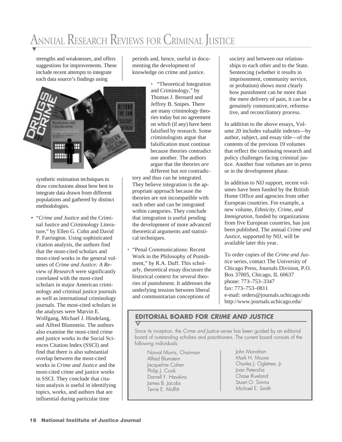# ANNUAL RESEARCH REVIEWS FOR CRIMINAL JUSTICE

strengths and weaknesses, and offers suggestions for improvements. These include recent attempts to integrate each data source's findings using

periods and, hence, useful in documenting the development of knowledge on crime and justice.



synthetic estimation techniques to draw conclusions about how best to integrate data drawn from different populations and gathered by distinct methodologies.

• "*Crime and Justice* and the Criminal Justice and Criminology Literature," by Ellen G. Cohn and David P. Farrington. Using sophisticated citation analysis, the authors find that the most-cited scholars and most-cited works in the general volumes of *Crime and Justice: A Review of Research* were significantly correlated with the most-cited scholars in major American criminology and criminal justice journals as well as international criminology journals. The most-cited scholars in the analyses were Marvin E. Wolfgang, Michael J. Hindelang, and Alfred Blumstein. The authors also examine the most-cited crime and justice works in the Social Sciences Citation Index (SSCI) and find that there is also substantial overlap between the most-cited works in *Crime and Justice* and the most-cited crime and justice works in SSCI. They conclude that citation analysis is useful in identifying topics, works, and authors that are influential during particular time

• "Theoretical Integration and Criminology," by Thomas J. Bernard and Jeffrey B. Snipes. There are many criminology theories today but no agreement on which (if any) have been falsified by research. Some criminologists argue that falsification must continue because theories contradict one another. The authors argue that the theories *are* different but *not* contradic-

tory and thus can be integrated. They believe integration is the appropriate approach because the theories are not incompatible with each other and can be integrated within categories. They conclude that integration is useful pending the development of more advanced theoretical arguments and statistical techniques.

• "Penal Communications: Recent Work in the Philosophy of Punishment," by R.A. Duff. This scholarly, theoretical essay discusses the historical context for several theories of punishment. It addresses the underlying tension between liberal and communitarian conceptions of

society and between our relationships to each other and to the State. Sentencing (whether it results in imprisonment, community service, or probation) shows most clearly how punishment can be more than the mere delivery of pain, it can be a genuinely communicative, reformative, and reconciliatory process.

In addition to the above essays, Volume 20 includes valuable indexes—by author, subject, and essay title—of the contents of the previous 19 volumes that reflect the continuing research and policy challenges facing criminal justice. Another four volumes are in press or in the development phase.

In addition to NIJ support, recent volumes have been funded by the British Home Office and agencies from other European countries. For example, a new volume, *Ethnicity, Crime, and Immigration*, funded by organizations from five European countries, has just been published. The annual *Crime and Justice*, supported by NIJ, will be available later this year.

To order copies of the *Crime and Justice* series, contact The University of Chicago Press, Journals Division, P.O. Box 37005, Chicago, IL 60637 phone: 773–753–3347 fax: 773–753–0811 e-mail: orders@journals.uchicago.edu http://www.journals.uchicago.edu/

# **EDITORIAL BOARD FOR CRIME AND JUSTICE**

Since its inception, the Crime and Justice series has been guided by an editorial board of outstanding scholars and practitioners. The current board consists of the following individuals:

Norval Morris, Chairman Alfred Blumstein Jacqueline Cohen Philip I. Cook Darnell F. Hawkins James B. Jacobs Terrie E. Moffitt

John Monahan Mark H. Moore Charles J. Ogletree, Jr. Joan Petersilia Chase Riveland Stuart O. Simms Michael E. Smith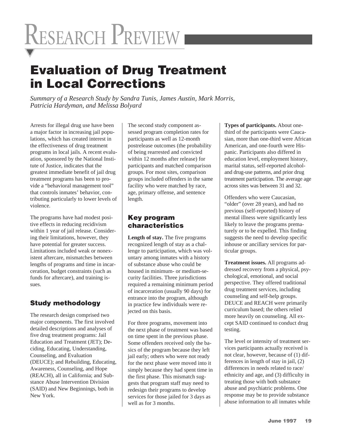# RESEARCH PREVIEW

# Evaluation of Drug Treatment in Local Corrections

*Summary of a Research Study by Sandra Tunis, James Austin, Mark Morris, Patricia Hardyman, and Melissa Bolyard*

Arrests for illegal drug use have been a major factor in increasing jail populations, which has created interest in the effectiveness of drug treatment programs in local jails. A recent evaluation, sponsored by the National Institute of Justice, indicates that the greatest immediate benefit of jail drug treatment programs has been to provide a "behavioral management tool" that controls inmates' behavior, contributing particularly to lower levels of violence.

The programs have had modest positive effects in reducing recidivism within 1 year of jail release. Considering their limitations, however, they have potential for greater success. Limitations included weak or nonexistent aftercare, mismatches between lengths of programs and time in incarceration, budget constraints (such as funds for aftercare), and training issues.

# Study methodology

The research design comprised two major components. The first involved detailed descriptions and analyses of five drug treatment programs: Jail Education and Treatment (JET); Deciding, Educating, Understanding, Counseling, and Evaluation (DEUCE); and Rebuilding, Educating, Awareness, Counseling, and Hope (REACH), all in California; and Substance Abuse Intervention Division (SAID) and New Beginnings, both in New York.

The second study component assessed program completion rates for participants as well as 12-month postrelease outcomes (the probability of being rearrested and convicted within 12 months after release) for participants and matched comparison groups. For most sites, comparison groups included offenders in the same facility who were matched by race, age, primary offense, and sentence length.

# Key program characteristics

**Length of stay.** The five programs recognized length of stay as a challenge to participation, which was voluntary among inmates with a history of substance abuse who could be housed in minimum- or medium-security facilities. Three jurisdictions required a remaining minimum period of incarceration (usually 90 days) for entrance into the program, although in practice few individuals were rejected on this basis.

For three programs, movement into the next phase of treatment was based on time spent in the previous phase. Some offenders received only the basics of the program because they left jail early; others who were not ready for the next phase were moved into it simply because they had spent time in the first phase. This mismatch suggests that program staff may need to redesign their programs to develop services for those jailed for 3 days as well as for 3 months.

**Types of participants.** About onethird of the participants were Caucasian, more than one-third were African American, and one-fourth were Hispanic. Participants also differed in education level, employment history, marital status, self-reported alcoholand drug-use patterns, and prior drug treatment participation. The average age across sites was between 31 and 32.

Offenders who were Caucasian, "older" (over 28 years), and had no previous (self-reported) history of mental illness were significantly less likely to leave the programs prematurely or to be expelled. This finding suggests the need to develop specific inhouse or ancillary services for particular groups.

**Treatment issues.** All programs addressed recovery from a physical, psychological, emotional, and social perspective. They offered traditional drug treatment services, including counseling and self-help groups. DEUCE and REACH were primarily curriculum based; the others relied more heavily on counseling. All except SAID continued to conduct drug testing.

The level or intensity of treatment services participants actually received is not clear, however, because of (1) differences in length of stay in jail, (2) differences in needs related to race/ ethnicity and age, and (3) difficulty in treating those with both substance abuse and psychiatric problems. One response may be to provide substance abuse information to all inmates while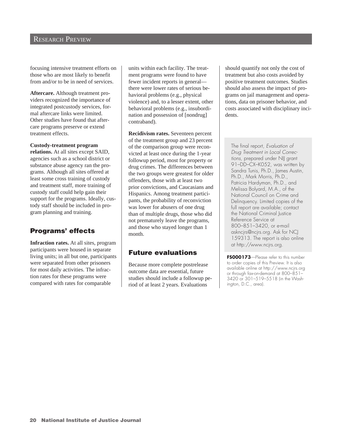### RESEARCH PREVIEW

focusing intensive treatment efforts on those who are most likely to benefit from and/or to be in need of services.

**Aftercare.** Although treatment providers recognized the importance of integrated postcustody services, formal aftercare links were limited. Other studies have found that aftercare programs preserve or extend treatment effects.

#### **Custody-treatment program**

**relations.** At all sites except SAID, agencies such as a school district or substance abuse agency ran the programs. Although all sites offered at least some cross training of custody and treatment staff, more training of custody staff could help gain their support for the programs. Ideally, custody staff should be included in program planning and training.

### Programs' effects

**Infraction rates.** At all sites, program participants were housed in separate living units; in all but one, participants were separated from other prisoners for most daily activities. The infraction rates for these programs were compared with rates for comparable

units within each facility. The treatment programs were found to have fewer incident reports in general there were lower rates of serious behavioral problems (e.g., physical violence) and, to a lesser extent, other behavioral problems (e.g., insubordination and possession of [nondrug] contraband).

**Recidivism rates.** Seventeen percent of the treatment group and 23 percent of the comparison group were reconvicted at least once during the 1-year followup period, most for property or drug crimes. The differences between the two groups were greatest for older offenders, those with at least two prior convictions, and Caucasians and Hispanics. Among treatment participants, the probability of reconviction was lower for abusers of one drug than of multiple drugs, those who did not prematurely leave the programs, and those who stayed longer than 1 month.

### Future evaluations

Because more complete postrelease outcome data are essential, future studies should include a followup period of at least 2 years. Evaluations

should quantify not only the cost of treatment but also costs avoided by positive treatment outcomes. Studies should also assess the impact of programs on jail management and operations, data on prisoner behavior, and costs associated with disciplinary incidents.

The final report, Evaluation of Drug Treatment in Local Corrections, prepared under NIJ grant 91–DD–CX–K052, was written by Sandra Tunis, Ph.D., James Austin, Ph.D., Mark Morris, Ph.D., Patricia Hardyman, Ph.D., and Melissa Bolyard, M.A., of the National Council on Crime and Delinquency. Limited copies of the full report are available; contact the National Criminal Justice Reference Service at 800–851–3420, or e-mail askncjrs@ncjrs.org. Ask for NCJ 159313. The report is also online at http://www.ncjrs.org.

**FS000173**—Please refer to this number to order copies of this Preview. It is also available online at http://www.ncjrs.org or through fax-on-demand at 800–851– 3420 or 301–519–5518 (in the Washington, D.C., area).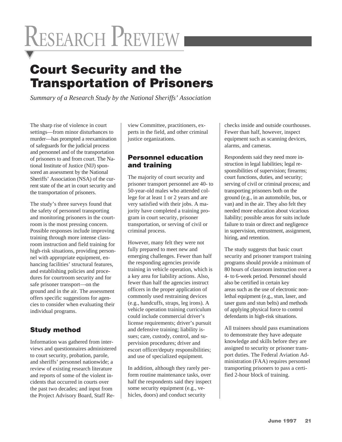# RESEARCH PREVIEW

# Court Security and the Transportation of Prisoners

*Summary of a Research Study by the National Sheriffs' Association*

The sharp rise of violence in court settings—from minor disturbances to murder—has prompted a reexamination of safeguards for the judicial process and personnel and of the transportation of prisoners to and from court. The National Institute of Justice (NIJ) sponsored an assessment by the National Sheriffs' Association (NSA) of the current state of the art in court security and the transportation of prisoners.

The study's three surveys found that the safety of personnel transporting and monitoring prisoners in the courtroom is the most pressing concern. Possible responses include improving training through more intense classroom instruction and field training for high-risk situations, providing personnel with appropriate equipment, enhancing facilities' structural features, and establishing policies and procedures for courtroom security and for safe prisoner transport—on the ground and in the air. The assessment offers specific suggestions for agencies to consider when evaluating their individual programs.

# Study method

Information was gathered from interviews and questionnaires administered to court security, probation, parole, and sheriffs' personnel nationwide; a review of existing research literature and reports of some of the violent incidents that occurred in courts over the past two decades; and input from the Project Advisory Board, Staff Review Committee, practitioners, experts in the field, and other criminal justice organizations.

# Personnel education and training

The majority of court security and prisoner transport personnel are 40- to 50-year-old males who attended college for at least 1 or 2 years and are very satisfied with their jobs. A majority have completed a training program in court security, prisoner transportation, or serving of civil or criminal process.

However, many felt they were not fully prepared to meet new and emerging challenges. Fewer than half the responding agencies provide training in vehicle operation, which is a key area for liability actions. Also, fewer than half the agencies instruct officers in the proper application of commonly used restraining devices (e.g., handcuffs, straps, leg irons). A vehicle operation training curriculum could include commercial driver's license requirements; driver's pursuit and defensive training; liability issues; care, custody, control, and supervision procedures; driver and escort officer/deputy responsibilities; and use of specialized equipment.

In addition, although they rarely perform routine maintenance tasks, over half the respondents said they inspect some security equipment (e.g., vehicles, doors) and conduct security

checks inside and outside courthouses. Fewer than half, however, inspect equipment such as scanning devices, alarms, and cameras.

Respondents said they need more instruction in legal liabilities; legal responsibilities of supervision; firearms; court functions, duties, and security; serving of civil or criminal process; and transporting prisoners both on the ground (e.g., in an automobile, bus, or van) and in the air. They also felt they needed more education about vicarious liability; possible areas for suits include failure to train or direct and negligence in supervision, entrustment, assignment, hiring, and retention.

The study suggests that basic court security and prisoner transport training programs should provide a minimum of 80 hours of classroom instruction over a 4- to 6-week period. Personnel should also be certified in certain key areas such as the use of electronic nonlethal equipment (e.g., stun, laser, and taser guns and stun belts) and methods of applying physical force to control defendants in high-risk situations.

All trainees should pass examinations to demonstrate they have adequate knowledge and skills before they are assigned to security or prisoner transport duties. The Federal Aviation Administration (FAA) requires personnel transporting prisoners to pass a certified 2-hour block of training.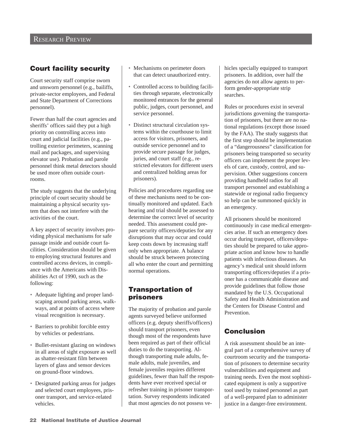# Court facility security

Court security staff comprise sworn and unsworn personnel (e.g., bailiffs, private-sector employees, and Federal and State Department of Corrections personnel).

Fewer than half the court agencies and sheriffs' offices said they put a high priority on controlling access into court and judicial facilities (e.g., patrolling exterior perimeters, scanning mail and packages, and supervising elevator use). Probation and parole personnel think metal detectors should be used more often outside courtrooms.

The study suggests that the underlying principle of court security should be maintaining a physical security system that does not interfere with the activities of the court.

A key aspect of security involves providing physical mechanisms for safe passage inside and outside court facilities. Consideration should be given to employing structural features and controlled access devices, in compliance with the Americans with Disabilities Act of 1990, such as the following:

- Adequate lighting and proper landscaping around parking areas, walkways, and at points of access where visual recognition is necessary.
- Barriers to prohibit forcible entry by vehicles or pedestrians.
- Bullet-resistant glazing on windows in all areas of sight exposure as well as shatter-resistant film between layers of glass and sensor devices on ground-floor windows.
- Designated parking areas for judges and selected court employees, prisoner transport, and service-related vehicles.
- Mechanisms on perimeter doors that can detect unauthorized entry.
- Controlled access to building facilities through separate, electronically monitored entrances for the general public, judges, court personnel, and service personnel.
- Distinct structural circulation systems within the courthouse to limit access for visitors, prisoners, and outside service personnel and to provide secure passage for judges, juries, and court staff (e.g., restricted elevators for different users and centralized holding areas for prisoners).

Policies and procedures regarding use of these mechanisms need to be continually monitored and updated. Each hearing and trial should be assessed to determine the correct level of security needed. This assessment could prepare security officers/deputies for any disruptions that may occur and could keep costs down by increasing staff only when appropriate. A balance should be struck between protecting all who enter the court and permitting normal operations.

# Transportation of prisoners

The majority of probation and parole agents surveyed believe uniformed officers (e.g. deputy sheriffs/officers) should transport prisoners, even though most of the respondents have been required as part of their official duties to do the transporting. Although transporting male adults, female adults, male juveniles, and female juveniles requires different guidelines, fewer than half the respondents have ever received special or refresher training in prisoner transportation. Survey respondents indicated that most agencies do not possess vehicles specially equipped to transport prisoners. In addition, over half the agencies do not allow agents to perform gender-appropriate strip searches.

Rules or procedures exist in several jurisdictions governing the transportation of prisoners, but there are no national regulations (except those issued by the FAA). The study suggests that the first step should be implementation of a "dangerousness" classification for prisoners being transported so security officers can implement the proper levels of care, custody, control, and supervision. Other suggestions concern providing handheld radios for all transport personnel and establishing a statewide or regional radio frequency so help can be summoned quickly in an emergency.

All prisoners should be monitored continuously in case medical emergencies arise. If such an emergency does occur during transport, officers/deputies should be prepared to take appropriate action and know how to handle patients with infectious diseases. An agency's medical unit should inform transporting officers/deputies if a prisoner has a communicable disease and provide guidelines that follow those mandated by the U.S. Occupational Safety and Health Administration and the Centers for Disease Control and **Prevention** 

# Conclusion

A risk assessment should be an integral part of a comprehensive survey of courtroom security and the transportation of prisoners to determine security vulnerabilities and equipment and training needs. Even the most sophisticated equipment is only a supportive tool used by trained personnel as part of a well-prepared plan to administer justice in a danger-free environment.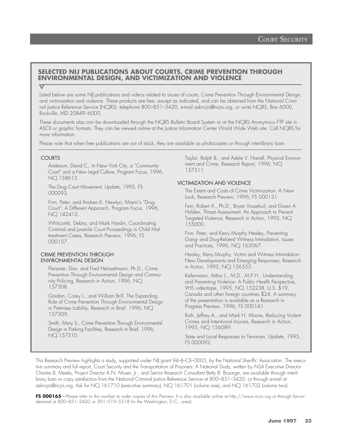### **SELECTED NIJ PUBLICATIONS ABOUT COURTS, CRIME PREVENTION THROUGH ENVIRONMENTAL DESIGN, AND VICTIMIZATION AND VIOLENCE**

#### $\triangledown$

Listed below are some NIJ publications and videos related to issues of courts, Crime Prevention Through Environmental Design, and victimization and violence. These products are free, except as indicated, and can be obtained from the National Criminal Justice Reference Service (NCJRS): telephone 800–851–3420, e-mail askncjrs@ncjrs.org, or write NCJRS, Box 6000, Rockville, MD 20849–6000.

These documents also can be downloaded through the NCJRS Bulletin Board System or at the NCJRS Anonymous FTP site in ASCII or graphic formats. They can be viewed online at the Justice Information Center World Wide Web site. Call NCJRS for more information.

Please note that when free publications are out of stock, they are available as photocopies or through interlibrary loan.

#### COURTS

Anderson, David C., In New York City, a "Community Court" and a New Legal Culture, Program Focus, 1996, NCJ 158613.

The Drug Court Movement, Update, 1995, FS 000093.

Finn, Peter, and Andrea K. Newlyn, Miami's "Drug Court": A Different Approach, Program Focus, 1996, NCJ 142412.

Whitcomb, Debra, and Mark Hardin, Coordinating Criminal and Juvenile Court Proceedings in Child Maltreatment Cases, Research Preview, 1996, FS 000157.

#### CRIME PREVENTION THROUGH ENVIRONMENTAL DESIGN

Fleissner, Dan, and Fred Heinzelmann, Ph.D., Crime Prevention Through Environmental Design and Community Policing, Research in Action, 1996, NCJ 157308.

Gordon, Corey L., and William Brill, The Expanding Role of Crime Prevention Through Environmental Design in Premises Liability, Research in Brief, 1996, NCJ 157309.

Smith, Mary S., Crime Prevention Through Environmental Design in Parking Facilities, Research in Brief, 1996, NCJ 157310.

Taylor, Ralph B., and Adele V. Harrell, Physical Environment and Crime, Research Report, 1996, NCJ 157311.

#### VICTIMIZATION AND VIOLENCE

The Extent and Costs of Crime Victimization: A New Look, Research Preview, 1996, FS 000131.

Fein, Robert A., Ph.D., Bryan Vossekuil, and Gwen A. Holden, Threat Assessment: An Approach to Prevent Targeted Violence, Research in Action, 1995, NCJ 155000.

Finn, Peter, and Kerry Murphy Healey, Preventing Gang- and Drug-Related Witness Intimidation, Issues and Practices, 1996, NCJ 163067.

Healey, Kerry Murphy, Victim and Witness Intimidation: New Developments and Emerging Responses, Research in Action, 1995, NCJ 156555.

Kellermann, Arthur L., M.D., M.P.H., Understanding and Preventing Violence: A Public Health Perspective, VHS videotape, 1995, NCJ 152238, U.S. \$19, Canada and other foreign countries \$24. A summary of the presentation is available as a Research in Progress Preview, 1996, FS 000141.

Roth, Jeffrey A., and Mark H. Moore, Reducing Violent Crimes and Intentional Injuries, Research in Action, 1995, NCJ 156089.

State and Local Responses to Terrorism, Update, 1995, FS 000092.

This Research Preview highlights a study, supported under NIJ grant 94–IJ–CX–0005, by the National Sheriffs' Association. The executive summary and full report, Court Security and the Transportation of Prisoners: A National Study, written by NSA Executive Director Charles B. Meeks, Project Director A.N. Moser, Jr., and Senior Research Consultant Betty B. Bosarge, are available through interlibrary loan or copy satisfaction from the National Criminal Justice Reference Service at 800–851–3420, or through e-mail at askncjrs@ncjrs.org. Ask for NCJ 161710 (executive summary), NCJ 161701 (volume one), and NCJ 161702 (volume two).

FS 000165—Please refer to this number to order copies of this Preview. It is also available online at http://www.ncjrs.org or through fax-ondemand at 800–851–3420 or 301–519–5518 (in the Washington, D.C., area).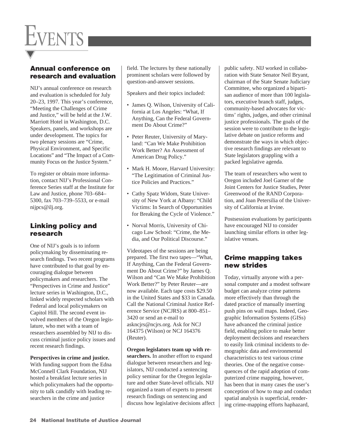

# Annual conference on research and evaluation

NIJ's annual conference on research and evaluation is scheduled for July 20–23, 1997. This year's conference, "Meeting the Challenges of Crime and Justice," will be held at the J.W. Marriott Hotel in Washington, D.C. Speakers, panels, and workshops are under development. The topics for two plenary sessions are "Crime, Physical Environment, and Specific Locations" and "The Impact of a Community Focus on the Justice System."

To register or obtain more information, contact NIJ's Professional Conference Series staff at the Institute for Law and Justice, phone 703–684– 5300, fax 703–739–5533, or e-mail nijpcs@ilj.org.

# Linking policy and research

One of NIJ's goals is to inform policymaking by disseminating research findings. Two recent programs have contributed to that goal by encouraging dialogue between policymakers and researchers. The "Perspectives in Crime and Justice" lecture series in Washington, D.C., linked widely respected scholars with Federal and local policymakers on Capitol Hill. The second event involved members of the Oregon legislature, who met with a team of researchers assembled by NIJ to discuss criminal justice policy issues and recent research findings.

**Perspectives in crime and justice.** With funding support from the Edna McConnell Clark Foundation, NIJ hosted a breakfast lecture series in which policymakers had the opportunity to talk candidly with leading researchers in the crime and justice

field. The lectures by these nationally prominent scholars were followed by question-and-answer sessions.

Speakers and their topics included:

- James Q. Wilson, University of California at Los Angeles: "What, If Anything, Can the Federal Government Do About Crime?"
- Peter Reuter, University of Maryland: "Can We Make Prohibition Work Better? An Assessment of American Drug Policy."
- Mark H. Moore, Harvard University: "The Legitimation of Criminal Justice Policies and Practices."
- Cathy Spatz Widom, State University of New York at Albany: "Child Victims: In Search of Opportunities for Breaking the Cycle of Violence."
- Norval Morris, University of Chicago Law School: "Crime, the Media, and Our Political Discourse."

Videotapes of the sessions are being prepared. The first two tapes—"What, If Anything, Can the Federal Government Do About Crime?" by James Q. Wilson and "Can We Make Prohibition Work Better?" by Peter Reuter—are now available. Each tape costs \$29.50 in the United States and \$33 in Canada. Call the National Criminal Justice Reference Service (NCJRS) at 800–851– 3420 or send an e-mail to askncjrs@ncjrs.org. Ask for NCJ 164375 (Wilson) or NCJ 164376 (Reuter).

**Oregon legislators team up with researchers.** In another effort to expand dialogue between researchers and legislators, NIJ conducted a sentencing policy seminar for the Oregon legislature and other State-level officials. NIJ organized a team of experts to present research findings on sentencing and discuss how legislative decisions affect public safety. NIJ worked in collaboration with State Senator Neil Bryant, chairman of the State Senate Judiciary Committee, who organized a bipartisan audience of more than 100 legislators, executive branch staff, judges, community-based advocates for victims' rights, judges, and other criminal justice professionals. The goals of the session were to contribute to the legislative debate on justice reforms and demonstrate the ways in which objective research findings are relevant to State legislators grappling with a packed legislative agenda.

The team of researchers who went to Oregon included Joel Garner of the Joint Centers for Justice Studies, Peter Greenwood of the RAND Corporation, and Joan Petersilia of the University of California at Irvine.

Postsession evaluations by participants have encouraged NIJ to consider launching similar efforts in other legislative venues.

# Crime mapping takes new strides

Today, virtually anyone with a personal computer and a modest software budget can analyze crime patterns more effectively than through the dated practice of manually inserting push pins on wall maps. Indeed, Geographic Information Systems (GISs) have advanced the criminal justice field, enabling police to make better deployment decisions and researchers to easily link criminal incidents to demographic data and environmental characteristics to test various crime theories. One of the negative consequences of the rapid adoption of computerized crime mapping, however, has been that in many cases the user's conception of how to map and conduct spatial analysis is superficial, rendering crime-mapping efforts haphazard,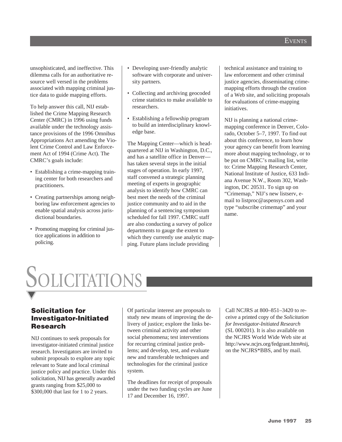unsophisticated, and ineffective. This dilemma calls for an authoritative resource well versed in the problems associated with mapping criminal justice data to guide mapping efforts.

To help answer this call, NIJ established the Crime Mapping Research Center (CMRC) in 1996 using funds available under the technology assistance provisions of the 1996 Omnibus Appropriations Act amending the Violent Crime Control and Law Enforcement Act of 1994 (Crime Act). The CMRC's goals include:

- Establishing a crime-mapping training center for both researchers and practitioners.
- Creating partnerships among neighboring law enforcement agencies to enable spatial analysis across jurisdictional boundaries.
- Promoting mapping for criminal justice applications in addition to policing.
- Developing user-friendly analytic software with corporate and university partners.
- Collecting and archiving geocoded crime statistics to make available to researchers.
- Establishing a fellowship program to build an interdisciplinary knowledge base.

The Mapping Center—which is headquartered at NIJ in Washington, D.C., and has a satellite office in Denver has taken several steps in the initial stages of operation. In early 1997, staff convened a strategic planning meeting of experts in geographic analysis to identify how CMRC can best meet the needs of the criminal justice community and to aid in the planning of a sentencing symposium scheduled for fall 1997. CMRC staff are also conducting a survey of police departments to gauge the extent to which they currently use analytic mapping. Future plans include providing

technical assistance and training to law enforcement and other criminal justice agencies, disseminating crimemapping efforts through the creation of a Web site, and soliciting proposals for evaluations of crime-mapping initiatives.

NIJ is planning a national crimemapping conference in Denver, Colorado, October 5–7, 1997. To find out about this conference, to learn how your agency can benefit from learning more about mapping technology, or to be put on CMRC's mailing list, write to: Crime Mapping Research Center, National Institute of Justice, 633 Indiana Avenue N.W., Room 302, Washington, DC 20531. To sign up on "Crimemap," NIJ's new listserv, email to listproc@aspensys.com and type "subscribe crimemap" and your name.

# SOLICITATIONS

# Solicitation for Investigator-Initiated Research

NIJ continues to seek proposals for investigator-initiated criminal justice research. Investigators are invited to submit proposals to explore any topic relevant to State and local criminal justice policy and practice. Under this solicitation, NIJ has generally awarded grants ranging from \$25,000 to \$300,000 that last for 1 to 2 years.

Of particular interest are proposals to study new means of improving the delivery of justice; explore the links between criminal activity and other social phenomena; test interventions for recurring criminal justice problems; and develop, test, and evaluate new and transferable techniques and technologies for the criminal justice system.

The deadlines for receipt of proposals under the two funding cycles are June 17 and December 16, 1997.

Call NCJRS at 800–851–3420 to receive a printed copy of the *Solicitation for Investigator-Initiated Research* (SL 000201). It is also available on the NCJRS World Wide Web site at http://www.ncjrs.org/fedgrant.htm#nij, on the NCJRS\*BBS, and by mail.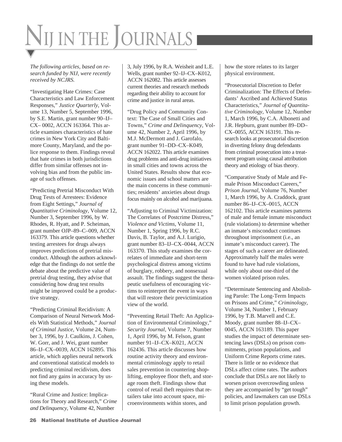# NIJ IN THE JOURNALS

*The following articles, based on research funded by NIJ, were recently received by NCJRS.*

"Investigating Hate Crimes: Case Characteristics and Law Enforcement Responses," *Justice Quarterly*, Volume 13, Number 5, September 1996, by S.E. Martin, grant number 90–IJ– CX– 0002, ACCN 163364. This article examines characteristics of hate crimes in New York City and Baltimore County, Maryland, and the police response to them. Findings reveal that hate crimes in both jurisdictions differ from similar offenses not involving bias and from the public image of such offenses.

"Predicting Pretrial Misconduct With Drug Tests of Arrestees: Evidence from Eight Settings," *Journal of Quantitative Criminology*, Volume 12, Number 3, September 1996, by W. Rhodes, R. Hyatt, and P. Scheiman, grant number OJP–89–C–009, ACCN 163379. This article questions whether testing arrestees for drugs always improves predictions of pretrial misconduct. Although the authors acknowledge that the findings do not settle the debate about the predictive value of pretrial drug testing, they advise that considering how drug test results might be improved could be a productive strategy.

"Predicting Criminal Recidivism: A Comparison of Neural Network Models With Statistical Methods," *Journal of Criminal Justice*, Volume 24, Number 3, 1996, by J. Caulkins, J. Cohen, W. Gorr, and J. Wei, grant number 86–IJ–CX–0039, ACCN 162895. This article, which applies neural network and conventional statistical models to predicting criminal recidivism, does not find any gains in accuracy by using these models.

"Rural Crime and Justice: Implications for Theory and Research," *Crime and Delinquency*, Volume 42, Number

3, July 1996, by R.A. Weisheit and L.E. Wells, grant number 92–IJ–CX–K012, ACCN 162082. This article assesses current theories and research methods regarding their ability to account for crime and justice in rural areas.

"Drug Policy and Community Context: The Case of Small Cities and Towns," *Crime and Delinquency*, Volume 42, Number 2, April 1996, by M.J. McDermott and J. Garofalo, grant number 91–DD–CX–K049, ACCN 162022. This article examines drug problems and anti-drug initiatives in small cities and towns across the United States. Results show that economic issues and school matters are the main concerns in these communities; residents' anxieties about drugs focus mainly on alcohol and marijuana.

"Adjusting to Criminal Victimization: The Correlates of Postcrime Distress," *Violence and Victims*, Volume 11, Number 1, Spring 1996, by R.C. Davis, B. Taylor, and A.J. Lurigio, grant number 83–IJ–CX–0044, ACCN 163370. This study examines the correlates of immediate and short-term psychological distress among victims of burglary, robbery, and nonsexual assault. The findings suggest the therapeutic usefulness of encouraging victims to reinterpret the event in ways that will restore their previctimization view of the world.

"Preventing Retail Theft: An Application of Environmental Criminology," *Security Journal*, Volume 7, Number 1, April 1996, by M. Felson, grant number 91–IJ–CX–K021, ACCN 162436. This article discusses how routine activity theory and environmental criminology apply to retail sales prevention in countering shoplifting, employee floor theft, and storage room theft. Findings show that control of retail theft requires that retailers take into account space, microenvironments within stores, and

how the store relates to its larger physical environment.

"Prosecutorial Discretion to Defer Criminalization: The Effects of Defendants' Ascribed and Achieved Status Characteristics," *Journal of Quantitative Criminology*, Volume 12, Number 1, March 1996, by C.A. Albonetti and J.R. Hepburn, grant number 89–DD– CX–0055, ACCN 163191. This research looks at prosecutorial discretion in diverting felony drug defendants from criminal prosecution into a treatment program using causal attribution theory and etiology of bias theory.

"Comparative Study of Male and Female Prison Misconduct Careers," *Prison Journal*, Volume 76, Number 1, March 1996, by A. Craddock, grant number 86–IJ–CX–0015, ACCN 162102. This article examines patterns of male and female inmate misconduct (rule violations) to determine whether an inmate's misconduct continues throughout imprisonment (i.e., an inmate's misconduct career). The stages of such a career are delineated. Approximately half the males were found to have had rule violations, while only about one-third of the women violated prison rules.

"Determinate Sentencing and Abolishing Parole: The Long-Term Impacts on Prisons and Crime," *Criminology*, Volume 34, Number 1, February 1996, by T.B. Marvell and C.E. Moody, grant number 88–IJ–CX– 0045, ACCN 163189. This paper studies the impact of determinate sentencing laws (DSLs) on prison commitments, prison populations, and Uniform Crime Reports crime rates. There is little or no evidence that DSLs affect crime rates. The authors conclude that DSLs are not likely to worsen prison overcrowding unless they are accompanied by "get tough" policies, and lawmakers can use DSLs to limit prison population growth.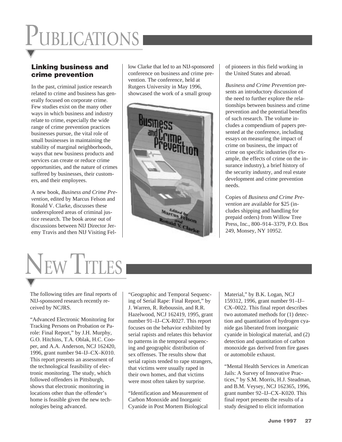# Linking business and crime prevention

In the past, criminal justice research related to crime and business has generally focused on corporate crime. Few studies exist on the many other ways in which business and industry relate to crime, especially the wide range of crime prevention practices businesses pursue, the vital role of small businesses in maintaining the stability of marginal neighborhoods, ways that new business products and services can create or reduce crime opportunities, and the nature of crimes suffered by businesses, their customers, and their employees.

A new book, *Business and Crime Prevention*, edited by Marcus Felson and Ronald V. Clarke, discusses these underexplored areas of criminal justice research. The book arose out of discussions between NIJ Director Jeremy Travis and then NIJ Visiting Fellow Clarke that led to an NIJ-sponsored conference on business and crime prevention. The conference, held at Rutgers University in May 1996, showcased the work of a small group



of pioneers in this field working in the United States and abroad.

*Business and Crime Prevention* presents an introductory discussion of the need to further explore the relationships between business and crime prevention and the potential benefits of such research. The volume includes a compendium of papers presented at the conference, including essays on measuring the impact of crime on business, the impact of crime on specific industries (for example, the effects of crime on the insurance industry), a brief history of the security industry, and real estate development and crime prevention needs.

Copies of *Business and Crime Prevention* are available for \$25 (includes shipping and handling for prepaid orders) from Willow Tree Press, Inc., 800–914–3379, P.O. Box 249, Monsey, NY 10952.



The following titles are final reports of NIJ-sponsored research recently received by NCJRS.

"Advanced Electronic Monitoring for Tracking Persons on Probation or Parole: Final Report," by J.H. Murphy, G.O. Hitchins, T.A. Oblak, H.C. Cooper, and A.A. Anderson, NCJ 162420, 1996, grant number 94–IJ–CX–K010. This report presents an assessment of the technological feasibility of electronic monitoring. The study, which followed offenders in Pittsburgh, shows that electronic monitoring in locations other than the offender's home is feasible given the new technologies being advanced.

"Geographic and Temporal Sequencing of Serial Rape: Final Report," by J. Warren, R. Reboussin, and R.R. Hazelwood, NCJ 162419, 1995, grant number 91–IJ–CX-R027. This report focuses on the behavior exhibited by serial rapists and relates this behavior to patterns in the temporal sequencing and geographic distribution of sex offenses. The results show that serial rapists tended to rape strangers, that victims were usually raped in their own homes, and that victims were most often taken by surprise.

"Identification and Measurement of Carbon Monoxide and Inorganic Cyanide in Post Mortem Biological

Material," by B.K. Logan, NCJ 159312, 1996, grant number 91–IJ– CX–0022. This final report describes two automated methods for (1) detection and quantitation of hydrogen cyanide gas liberated from inorganic cyanide in biological material, and (2) detection and quantitation of carbon monoxide gas derived from fire gases or automobile exhaust.

"Mental Health Services in American Jails: A Survey of Innovative Practices," by S.M. Morris, H.J. Steadman, and B.M. Veysey, NCJ 162365, 1996, grant number 92–IJ–CX–K020. This final report presents the results of a study designed to elicit information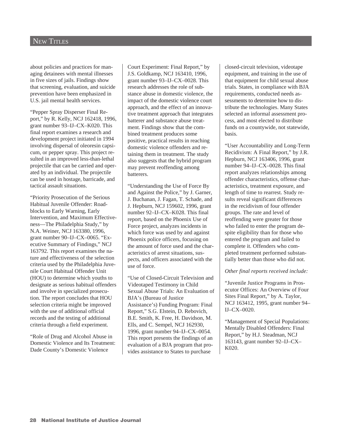### **NEW TITLES**

about policies and practices for managing detainees with mental illnesses in five sizes of jails. Findings show that screening, evaluation, and suicide prevention have been emphasized in U.S. jail mental health services.

"Pepper Spray Disperser Final Report," by R. Kelly, NCJ 162418, 1996, grant number 93–IJ–CX–K020. This final report examines a research and development project initiated in 1994 involving dispersal of oleoresin capsicum, or pepper spray. This project resulted in an improved less-than-lethal projectile that can be carried and operated by an individual. The projectile can be used in hostage, barricade, and tactical assault situations.

"Priority Prosecution of the Serious Habitual Juvenile Offender: Roadblocks to Early Warning, Early Intervention, and Maximum Effectiveness—The Philadelphia Study," by N.A. Weiner, NCJ 163380, 1996, grant number 90–IJ–CX–0065. "Executive Summary of Findings," NCJ 163792. This report examines the nature and effectiveness of the selection criteria used by the Philadelphia Juvenile Court Habitual Offender Unit (HOU) to determine which youths to designate as serious habitual offenders and involve in specialized prosecution. The report concludes that HOU selection criteria might be improved with the use of additional official records and the testing of additional criteria through a field experiment.

"Role of Drug and Alcohol Abuse in Domestic Violence and Its Treatment: Dade County's Domestic Violence

Court Experiment: Final Report," by J.S. Goldkamp, NCJ 163410, 1996, grant number 93–IJ–CX–0028. This research addresses the role of substance abuse in domestic violence, the impact of the domestic violence court approach, and the effect of an innovative treatment approach that integrates batterer and substance abuse treatment. Findings show that the combined treatment produces some positive, practical results in reaching domestic violence offenders and retaining them in treatment. The study also suggests that the hybrid program may prevent reoffending among batterers.

"Understanding the Use of Force By and Against the Police," by J. Garner, J. Buchanan, J. Fagan, T. Schade, and J. Hepburn, NCJ 159602, 1996, grant number 92–IJ–CX–K028. This final report, based on the Phoenix Use of Force project, analyzes incidents in which force was used by and against Phoenix police officers, focusing on the amount of force used and the characteristics of arrest situations, suspects, and officers associated with the use of force.

"Use of Closed-Circuit Television and Videotaped Testimony in Child Sexual Abuse Trials: An Evaluation of BJA's (Bureau of Justice Assistance's) Funding Program: Final Report," S.G. Elstein, D. Rebovich, B.E. Smith, K. Free, H. Davidson, M. Ells, and C. Sempel, NCJ 162930, 1996, grant number 94–IJ–CX–0054. This report presents the findings of an evaluation of a BJA program that provides assistance to States to purchase

closed-circuit television, videotape equipment, and training in the use of that equipment for child sexual abuse trials. States, in compliance with BJA requirements, conducted needs assessments to determine how to distribute the technologies. Many States selected an informal assessment process, and most elected to distribute funds on a countywide, not statewide, basis.

"User Accountability and Long-Term Recidivism: A Final Report," by J.R. Hepburn, NCJ 163406, 1996, grant number 94–IJ–CX–0028. This final report analyzes relationships among offender characteristics, offense characteristics, treatment exposure, and length of time to rearrest. Study results reveal significant differences in the recidivism of four offender groups. The rate and level of reoffending were greater for those who failed to enter the program despite eligibility than for those who entered the program and failed to complete it. Offenders who completed treatment performed substantially better than those who did not.

#### *Other final reports received include:*

"Juvenile Justice Programs in Prosecutor Offices: An Overview of Four Sites Final Report," by A. Taylor, NCJ 163412, 1995, grant number 94– IJ–CX–0020.

"Management of Special Populations: Mentally Disabled Offenders: Final Report," by H.J. Steadman, NCJ 163143, grant number 92–IJ–CX– K020.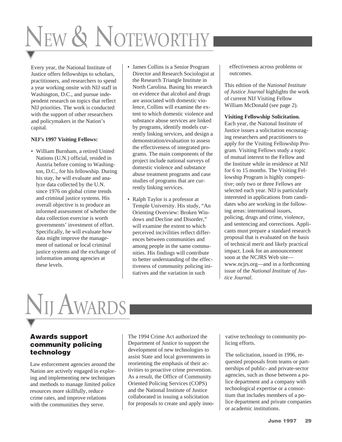# NEW & NOTEWORTHY

Every year, the National Institute of Justice offers fellowships to scholars, practitioners, and researchers to spend a year working onsite with NIJ staff in Washington, D.C., and pursue independent research on topics that reflect NIJ priorities. The work is conducted with the support of other researchers and policymakers in the Nation's capital.

#### **NIJ's 1997 Visiting Fellows:**

- William Burnham, a retired United Nations (U.N.) official, resided in Austria before coming to Washington, D.C., for his fellowship. During his stay, he will evaluate and analyze data collected by the U.N. since 1976 on global crime trends and criminal justice systems. His overall objective is to produce an informed assessment of whether the data collection exercise is worth governments' investment of effort. Specifically, he will evaluate how data might improve the management of national or local criminal justice systems and the exchange of information among agencies at these levels.
- James Collins is a Senior Program Director and Research Sociologist at the Research Triangle Institute in North Carolina. Basing his research on evidence that alcohol and drugs are associated with domestic violence, Collins will examine the extent to which domestic violence and substance abuse services are linked by programs, identify models currently linking services, and design a demonstration/evaluation to assess the effectiveness of integrated programs. The main components of the project include national surveys of domestic violence and substance abuse treatment programs and case studies of programs that are currently linking services.
- Ralph Taylor is a professor at Temple University. His study, "An Orienting Overview: Broken Windows and Decline and Disorder," will examine the extent to which perceived incivilities reflect differences between communities and among people in the same communities. His findings will contribute to better understanding of the effectiveness of community policing initiatives and the variation in such

effectiveness across problems or outcomes.

This edition of the *National Institute of Justice Journal* highlights the work of current NIJ Visiting Fellow William McDonald (see page 2).

#### **Visiting Fellowship Solicitation.**

Each year, the National Institute of Justice issues a solicitation encouraging researchers and practitioners to apply for the Visiting Fellowship Program. Visiting Fellows study a topic of mutual interest to the Fellow and the Institute while in residence at NIJ for 6 to 15 months. The Visiting Fellowship Program is highly competitive; only two or three Fellows are selected each year. NIJ is particularly interested in applications from candidates who are working in the following areas: international issues, policing, drugs and crime, violence, and sentencing and corrections. Applicants must prepare a standard research proposal that is evaluated on the basis of technical merit and likely practical impact. Look for an announcement soon at the NCJRS Web site www.ncjrs.org—and in a forthcoming issue of the *National Institute of Justice Journal*.

# NIJ AWARDS

# Awards support community policing technology

Law enforcement agencies around the Nation are actively engaged in exploring and implementing new techniques and methods to manage limited police resources more skillfully, reduce crime rates, and improve relations with the communities they serve.

The 1994 Crime Act authorized the Department of Justice to support the development of new technologies to assist State and local governments in reorienting the emphasis of their activities to proactive crime prevention. As a result, the Office of Community Oriented Policing Services (COPS) and the National Institute of Justice collaborated in issuing a solicitation for proposals to create and apply inno-

vative technology to community policing efforts.

The solicitation, issued in 1996, requested proposals from teams or partnerships of public- and private-sector agencies, such as those between a police department and a company with technological expertise or a consortium that includes members of a police department and private companies or academic institutions.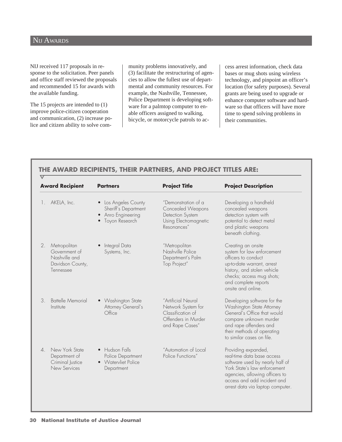# NIJ AWARDS

 $\overline{\nabla}$ 

NIJ received 117 proposals in response to the solicitation. Peer panels and office staff reviewed the proposals and recommended 15 for awards with the available funding.

The 15 projects are intended to (1) improve police-citizen cooperation and communication, (2) increase police and citizen ability to solve com-

munity problems innovatively, and (3) facilitate the restructuring of agencies to allow the fullest use of departmental and community resources. For example, the Nashville, Tennessee, Police Department is developing software for a palmtop computer to enable officers assigned to walking, bicycle, or motorcycle patrols to access arrest information, check data bases or mug shots using wireless technology, and pinpoint an officer's location (for safety purposes). Several grants are being used to upgrade or enhance computer software and hardware so that officers will have more time to spend solving problems in their communities.

### **THE AWARD RECIPIENTS, THEIR PARTNERS, AND PROJECT TITLES ARE:**

| <b>Award Recipient</b>                                                                       | <b>Partners</b>                                                                    | <b>Project Title</b>                                                                                    | <b>Project Description</b>                                                                                                                                                                                                |
|----------------------------------------------------------------------------------------------|------------------------------------------------------------------------------------|---------------------------------------------------------------------------------------------------------|---------------------------------------------------------------------------------------------------------------------------------------------------------------------------------------------------------------------------|
| AKELA, Inc.<br>1.                                                                            | • Los Angeles County<br>Sheriff's Department<br>Anro Engineering<br>Toyon Research | "Demonstration of a<br>Concealed Weapons<br>Detection System<br>Using Electromagnetic<br>Resonances"    | Developing a handheld<br>concealed weapons<br>detection system with<br>potential to detect metal<br>and plastic weapons<br>beneath clothing.                                                                              |
| Metropolitan<br>2.<br>Government of<br>Nashville and<br>Davidson County,<br>Tennessee        | • Integral Data<br>Systems, Inc.                                                   | "Metropolitan<br>Nashville Police<br>Department's Palm<br>Top Project"                                  | Creating an onsite<br>system for law enforcement<br>officers to conduct<br>up-to-date warrant, arrest<br>history, and stolen vehicle<br>checks; access mug shots;<br>and complete reports<br>onsite and online.           |
| <b>Battelle Memorial</b><br>3.<br>Institute                                                  | • Washington State<br>Attorney General's<br>Office                                 | "Artificial Neural<br>Network System for<br>Classification of<br>Offenders in Murder<br>and Rape Cases" | Developing software for the<br>Washington State Attorney<br>General's Office that would<br>compare unknown murder<br>and rape offenders and<br>their methods of operating<br>to similar cases on file.                    |
| New York State<br>$\mathcal{A}_{\cdot}$<br>Department of<br>Criminal Justice<br>New Services | • Hudson Falls<br>Police Department<br>• Watervliet Police<br>Department           | "Automation of Local<br>Police Functions"                                                               | Providing expanded,<br>real-time data base access<br>software used by nearly half of<br>York State's law enforcement<br>agencies, allowing officers to<br>access and add incident and<br>arrest data via laptop computer. |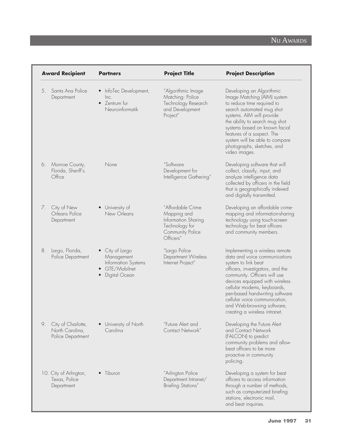# NIJ AWARDS

|    | <b>Award Recipient</b>                                     | <b>Partners</b>                                                                       | <b>Project Title</b>                                                                                       | <b>Project Description</b>                                                                                                                                                                                                                                                                                                                                    |
|----|------------------------------------------------------------|---------------------------------------------------------------------------------------|------------------------------------------------------------------------------------------------------------|---------------------------------------------------------------------------------------------------------------------------------------------------------------------------------------------------------------------------------------------------------------------------------------------------------------------------------------------------------------|
| 5. | Santa Ana Police<br>Department                             | InfoTec Development,<br>$\bullet$<br>lnc.<br>• Zentrum fur<br>Neuroinformatik         | "Algorithmic Image<br>Matching: Police<br>Technology Research<br>and Development<br>Project"               | Developing an Algorithmic<br>Image Matching (AIM) system<br>to reduce time required to<br>search automated mug shot<br>systems. AIM will provide<br>the ability to search mug shot<br>systems based on known facial<br>features of a suspect. The<br>system will be able to compare<br>photographs, sketches, and<br>video images.                            |
| 6. | Monroe County,<br>Florida, Sheriff's<br>Office             | None                                                                                  | "Software<br>Development for<br>Intelligence Gathering"                                                    | Developing software that will<br>collect, classify, input, and<br>analyze intelligence data<br>collected by officers in the field<br>that is geographically indexed<br>and digitally transmitted.                                                                                                                                                             |
| 7. | City of New<br>Orleans Police<br>Department                | University of<br>New Orleans                                                          | "Affordable Crime<br>Mapping and<br>Information Sharing<br>Technology for<br>Community Police<br>Officers" | Developing an affordable crime-<br>mapping and information-sharing<br>technology using touch-screen<br>technology for beat officers<br>and community members.                                                                                                                                                                                                 |
| 8. | Largo, Florida,<br>Police Department                       | • City of Largo<br>Management<br>Information Systems<br>GTE/Mobilnet<br>Digital Ocean | "Largo Police<br>Department Wireless<br>Internet Project"                                                  | Implementing a wireless remote<br>data and voice communications<br>system to link beat<br>officers, investigators, and the<br>community. Officers will use<br>devices equipped with wireless<br>cellular modems, keyboards,<br>pen-based handwriting software<br>cellular voice communication,<br>and Web-browsing software,<br>creating a wireless intranet. |
| 9. | City of Charlotte,<br>North Carolina,<br>Police Department | University of North<br>Carolina                                                       | "Future Alert and<br>Contact Network"                                                                      | Developing the Future Alert<br>and Contact Network<br>(FALCON) to predict<br>community problems and allow<br>beat officers to be more<br>proactive in community<br>policing.                                                                                                                                                                                  |
|    | 10. City of Arlington,<br>Texas, Police<br>Department      | • Tiburon                                                                             | "Arlington Police<br>Department Intranet/<br><b>Briefing Stations"</b>                                     | Developing a system for beat<br>officers to access information<br>through a number of methods,<br>such as computerized briefing<br>stations, electronic mail,<br>and beat inquiries.                                                                                                                                                                          |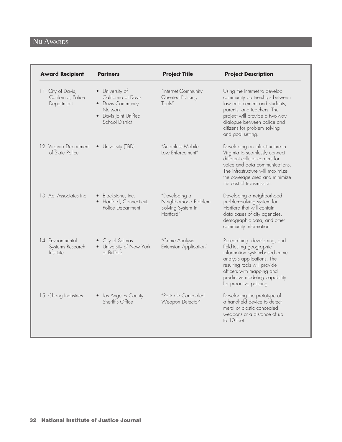| <b>Award Recipient</b>                                 | <b>Partners</b>                                                                                                           | <b>Project Title</b>                                                    | <b>Project Description</b>                                                                                                                                                                                                                           |
|--------------------------------------------------------|---------------------------------------------------------------------------------------------------------------------------|-------------------------------------------------------------------------|------------------------------------------------------------------------------------------------------------------------------------------------------------------------------------------------------------------------------------------------------|
| 11. City of Davis,<br>California, Police<br>Department | • University of<br>California at Davis<br>• Davis Community<br><b>Network</b><br>• Davis Joint Unified<br>School District | "Internet Community<br>Oriented Policing<br>Tools"                      | Using the Internet to develop<br>community partnerships between<br>law enforcement and students,<br>parents, and teachers. The<br>project will provide a two-way<br>dialogue between police and<br>citizens for problem solving<br>and goal setting. |
| 12. Virginia Department<br>of State Police             | • University (TBD)                                                                                                        | "Seamless Mobile<br>Law Enforcement"                                    | Developing an infrastructure in<br>Virginia to seamlessly connect<br>different cellular carriers for<br>voice and data communications.<br>The infrastructure will maximize<br>the coverage area and minimize<br>the cost of transmission.            |
| 13. Abt Associates Inc.                                | · Blackstone, Inc.<br>· Hartford, Connecticut,<br>Police Department                                                       | "Developing a<br>Neighborhood Problem<br>Solving System in<br>Hartford" | Developing a neighborhood<br>problem-solving system for<br>Hartford that will contain<br>data bases of city agencies,<br>demographic data, and other<br>community information.                                                                       |
| 14. Environmental<br>Systems Research<br>Institute     | • City of Salinas<br>• University of New York<br>at Buffalo                                                               | "Crime Analysis<br>Extension Application"                               | Researching, developing, and<br>field-testing geographic<br>information system-based crime<br>analysis applications. The<br>resulting tools will provide<br>officers with mapping and<br>predictive modeling capability<br>for proactive policing.   |
| 15. Chang Industries                                   | • Los Angeles County<br>Sheriff's Office                                                                                  | "Portable Concealed<br>Weapon Detector"                                 | Developing the prototype of<br>a handheld device to detect<br>metal or plastic concealed<br>weapons at a distance of up<br>to 10 feet.                                                                                                               |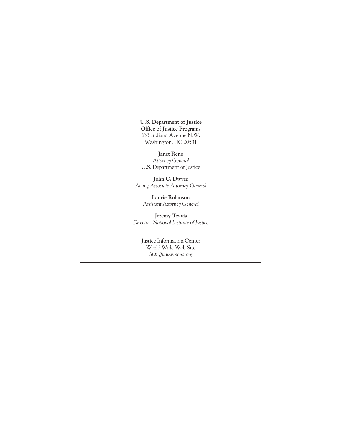**U.S. Department of Justice Office of Justice Programs** 633 Indiana Avenue N.W. Washington, DC 20531

**Janet Reno** *Attorney General* U.S. Department of Justice

**John C. Dwyer** *Acting Associate Attorney General*

> **Laurie Robinson** *Assistant Attorney General*

**Jeremy Travis** *Director, National Institute of Justice*

Justice Information Center World Wide Web Site *http://www.ncjrs.org*